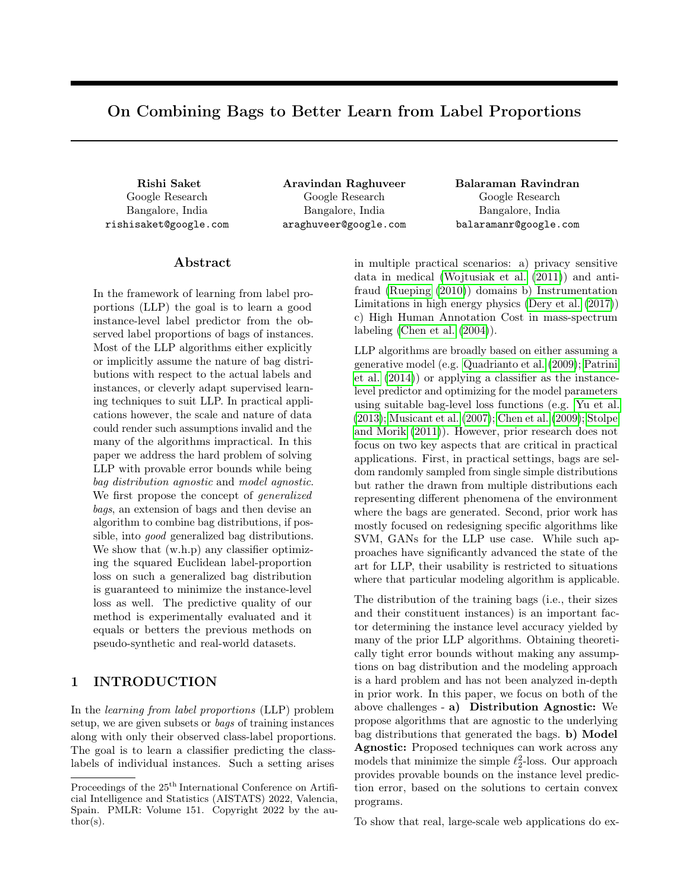## On Combining Bags to Better Learn from Label Proportions

Google Research Bangalore, India rishisaket@google.com

Google Research Bangalore, India araghuveer@google.com

Rishi Saket Aravindan Raghuveer Balaraman Ravindran Google Research Bangalore, India balaramanr@google.com

## Abstract

In the framework of learning from label proportions (LLP) the goal is to learn a good instance-level label predictor from the observed label proportions of bags of instances. Most of the LLP algorithms either explicitly or implicitly assume the nature of bag distributions with respect to the actual labels and instances, or cleverly adapt supervised learning techniques to suit LLP. In practical applications however, the scale and nature of data could render such assumptions invalid and the many of the algorithms impractical. In this paper we address the hard problem of solving LLP with provable error bounds while being bag distribution agnostic and model agnostic. We first propose the concept of *generalized* bags, an extension of bags and then devise an algorithm to combine bag distributions, if possible, into good generalized bag distributions. We show that  $(w.h.p)$  any classifier optimizing the squared Euclidean label-proportion loss on such a generalized bag distribution is guaranteed to minimize the instance-level loss as well. The predictive quality of our method is experimentally evaluated and it equals or betters the previous methods on pseudo-synthetic and real-world datasets.

## <span id="page-0-0"></span>1 INTRODUCTION

In the learning from label proportions (LLP) problem setup, we are given subsets or bags of training instances along with only their observed class-label proportions. The goal is to learn a classifier predicting the classlabels of individual instances. Such a setting arises in multiple practical scenarios: a) privacy sensitive data in medical [\(Wojtusiak et al.](#page-10-0) [\(2011\)](#page-10-0)) and antifraud [\(Rueping](#page-9-0) [\(2010\)](#page-9-0)) domains b) Instrumentation Limitations in high energy physics [\(Dery et al.](#page-9-1) [\(2017\)](#page-9-1)) c) High Human Annotation Cost in mass-spectrum labeling [\(Chen et al.](#page-9-2) [\(2004\)](#page-9-2)).

LLP algorithms are broadly based on either assuming a generative model (e.g. [Quadrianto et al.](#page-9-3) [\(2009\)](#page-9-3); [Patrini](#page-9-4) [et al.](#page-9-4) [\(2014\)](#page-9-4)) or applying a classifier as the instancelevel predictor and optimizing for the model parameters using suitable bag-level loss functions (e.g. [Yu et al.](#page-10-1) [\(2013\)](#page-10-1); [Musicant et al.](#page-9-5) [\(2007\)](#page-9-5); [Chen et al.](#page-9-6) [\(2009\)](#page-9-6); [Stolpe](#page-9-7) [and Morik](#page-9-7) [\(2011\)](#page-9-7)). However, prior research does not focus on two key aspects that are critical in practical applications. First, in practical settings, bags are seldom randomly sampled from single simple distributions but rather the drawn from multiple distributions each representing different phenomena of the environment where the bags are generated. Second, prior work has mostly focused on redesigning specific algorithms like SVM, GANs for the LLP use case. While such approaches have significantly advanced the state of the art for LLP, their usability is restricted to situations where that particular modeling algorithm is applicable.

The distribution of the training bags (i.e., their sizes and their constituent instances) is an important factor determining the instance level accuracy yielded by many of the prior LLP algorithms. Obtaining theoretically tight error bounds without making any assumptions on bag distribution and the modeling approach is a hard problem and has not been analyzed in-depth in prior work. In this paper, we focus on both of the above challenges - a) Distribution Agnostic: We propose algorithms that are agnostic to the underlying bag distributions that generated the bags. b) Model Agnostic: Proposed techniques can work across any models that minimize the simple  $\ell_2^2$ -loss. Our approach provides provable bounds on the instance level prediction error, based on the solutions to certain convex programs.

To show that real, large-scale web applications do ex-

Proceedings of the  $25^{\mathrm{th}}$  International Conference on Artificial Intelligence and Statistics (AISTATS) 2022, Valencia, Spain. PMLR: Volume 151. Copyright 2022 by the au- $\text{thor}(s)$ .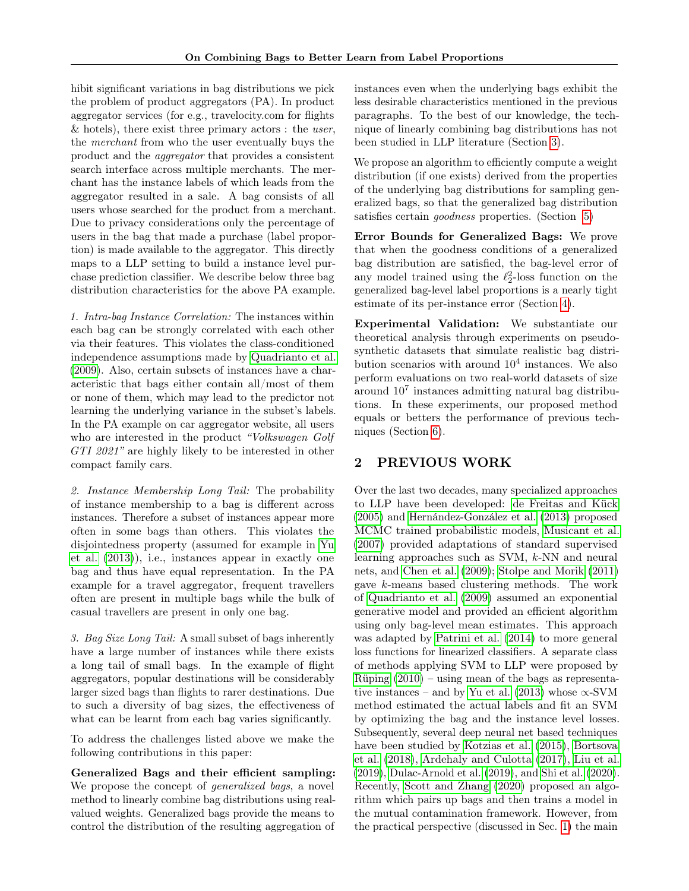hibit significant variations in bag distributions we pick the problem of product aggregators (PA). In product aggregator services (for e.g., travelocity.com for flights  $&$  hotels), there exist three primary actors : the user, the merchant from who the user eventually buys the product and the aggregator that provides a consistent search interface across multiple merchants. The merchant has the instance labels of which leads from the aggregator resulted in a sale. A bag consists of all users whose searched for the product from a merchant. Due to privacy considerations only the percentage of users in the bag that made a purchase (label proportion) is made available to the aggregator. This directly maps to a LLP setting to build a instance level purchase prediction classifier. We describe below three bag distribution characteristics for the above PA example.

1. Intra-bag Instance Correlation: The instances within each bag can be strongly correlated with each other via their features. This violates the class-conditioned independence assumptions made by [Quadrianto et al.](#page-9-3) [\(2009\)](#page-9-3). Also, certain subsets of instances have a characteristic that bags either contain all/most of them or none of them, which may lead to the predictor not learning the underlying variance in the subset's labels. In the PA example on car aggregator website, all users who are interested in the product "Volkswagen Golf GTI 2021" are highly likely to be interested in other compact family cars.

2. Instance Membership Long Tail: The probability of instance membership to a bag is different across instances. Therefore a subset of instances appear more often in some bags than others. This violates the disjointedness property (assumed for example in [Yu](#page-10-1) [et al.](#page-10-1) [\(2013\)](#page-10-1)), i.e., instances appear in exactly one bag and thus have equal representation. In the PA example for a travel aggregator, frequent travellers often are present in multiple bags while the bulk of casual travellers are present in only one bag.

3. Bag Size Long Tail: A small subset of bags inherently have a large number of instances while there exists a long tail of small bags. In the example of flight aggregators, popular destinations will be considerably larger sized bags than flights to rarer destinations. Due to such a diversity of bag sizes, the effectiveness of what can be learnt from each bag varies significantly.

To address the challenges listed above we make the following contributions in this paper:

Generalized Bags and their efficient sampling: We propose the concept of *generalized bags*, a novel method to linearly combine bag distributions using realvalued weights. Generalized bags provide the means to control the distribution of the resulting aggregation of instances even when the underlying bags exhibit the less desirable characteristics mentioned in the previous paragraphs. To the best of our knowledge, the technique of linearly combining bag distributions has not been studied in LLP literature (Section [3\)](#page-2-0).

We propose an algorithm to efficiently compute a weight distribution (if one exists) derived from the properties of the underlying bag distributions for sampling generalized bags, so that the generalized bag distribution satisfies certain goodness properties. (Section [5\)](#page-3-0)

Error Bounds for Generalized Bags: We prove that when the goodness conditions of a generalized bag distribution are satisfied, the bag-level error of any model trained using the  $\ell_2^2$ -loss function on the generalized bag-level label proportions is a nearly tight estimate of its per-instance error (Section [4\)](#page-2-1).

Experimental Validation: We substantiate our theoretical analysis through experiments on pseudosynthetic datasets that simulate realistic bag distribution scenarios with around  $10^4$  instances. We also perform evaluations on two real-world datasets of size around 10<sup>7</sup> instances admitting natural bag distributions. In these experiments, our proposed method equals or betters the performance of previous techniques (Section [6\)](#page-5-0).

## 2 PREVIOUS WORK

Over the last two decades, many specialized approaches to LLP have been developed: [de Freitas and Kück](#page-9-8) [\(2005\)](#page-9-8) and [Hernández-González et al.](#page-9-9) [\(2013\)](#page-9-9) proposed MCMC trained probabilistic models, [Musicant et al.](#page-9-5) [\(2007\)](#page-9-5) provided adaptations of standard supervised learning approaches such as SVM, k-NN and neural nets, and [Chen et al.](#page-9-6) [\(2009\)](#page-9-6); [Stolpe and Morik](#page-9-7) [\(2011\)](#page-9-7) gave k-means based clustering methods. The work of [Quadrianto et al.](#page-9-3) [\(2009\)](#page-9-3) assumed an exponential generative model and provided an efficient algorithm using only bag-level mean estimates. This approach was adapted by [Patrini et al.](#page-9-4) [\(2014\)](#page-9-4) to more general loss functions for linearized classifiers. A separate class of methods applying SVM to LLP were proposed by [Rüping](#page-9-10) [\(2010\)](#page-9-10) – using mean of the bags as representa-tive instances – and by [Yu et al.](#page-10-1) [\(2013\)](#page-10-1) whose  $\propto$ -SVM method estimated the actual labels and fit an SVM by optimizing the bag and the instance level losses. Subsequently, several deep neural net based techniques have been studied by [Kotzias et al.](#page-9-11) [\(2015\)](#page-9-11), [Bortsova](#page-9-12) [et al.](#page-9-12) [\(2018\)](#page-9-12), [Ardehaly and Culotta](#page-9-13) [\(2017\)](#page-9-13), [Liu et al.](#page-9-14) [\(2019\)](#page-9-14), [Dulac-Arnold et al.](#page-9-15) [\(2019\)](#page-9-15), and [Shi et al.](#page-9-16) [\(2020\)](#page-9-16). Recently, [Scott and Zhang](#page-9-17) [\(2020\)](#page-9-17) proposed an algorithm which pairs up bags and then trains a model in the mutual contamination framework. However, from the practical perspective (discussed in Sec. [1\)](#page-0-0) the main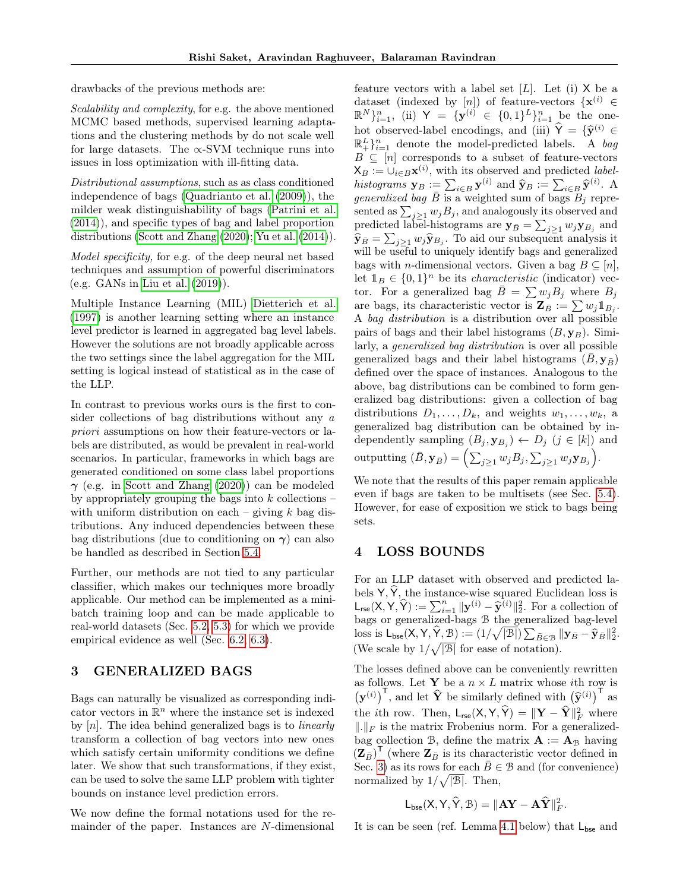drawbacks of the previous methods are:

Scalability and complexity, for e.g. the above mentioned MCMC based methods, supervised learning adaptations and the clustering methods by do not scale well for large datasets. The  $\propto$ -SVM technique runs into issues in loss optimization with ill-fitting data.

Distributional assumptions, such as as class conditioned independence of bags [\(Quadrianto et al.](#page-9-3) [\(2009\)](#page-9-3)), the milder weak distinguishability of bags [\(Patrini et al.](#page-9-4) [\(2014\)](#page-9-4)), and specific types of bag and label proportion distributions [\(Scott and Zhang](#page-9-17) [\(2020\)](#page-9-17); [Yu et al.](#page-10-2) [\(2014\)](#page-10-2)).

Model specificity, for e.g. of the deep neural net based techniques and assumption of powerful discriminators (e.g. GANs in [Liu et al.](#page-9-14) [\(2019\)](#page-9-14)).

Multiple Instance Learning (MIL) [Dietterich et al.](#page-9-18) [\(1997\)](#page-9-18) is another learning setting where an instance level predictor is learned in aggregated bag level labels. However the solutions are not broadly applicable across the two settings since the label aggregation for the MIL setting is logical instead of statistical as in the case of the LLP.

In contrast to previous works ours is the first to consider collections of bag distributions without any a priori assumptions on how their feature-vectors or labels are distributed, as would be prevalent in real-world scenarios. In particular, frameworks in which bags are generated conditioned on some class label proportions  $\gamma$  (e.g. in [Scott and Zhang](#page-9-17) [\(2020\)](#page-9-17)) can be modeled by appropriately grouping the bags into  $k$  collections – with uniform distribution on each – giving  $k$  bag distributions. Any induced dependencies between these bag distributions (due to conditioning on  $\gamma$ ) can also be handled as described in Section [5.4.](#page-5-1)

Further, our methods are not tied to any particular classifier, which makes our techniques more broadly applicable. Our method can be implemented as a minibatch training loop and can be made applicable to real-world datasets (Sec. [5.2,](#page-4-0) [5.3\)](#page-5-2) for which we provide empirical evidence as well (Sec. [6.2,](#page-7-0) [6.3\)](#page-8-0).

## <span id="page-2-0"></span>3 GENERALIZED BAGS

Bags can naturally be visualized as corresponding indicator vectors in  $\mathbb{R}^n$  where the instance set is indexed by  $[n]$ . The idea behind generalized bags is to *linearly* transform a collection of bag vectors into new ones which satisfy certain uniformity conditions we define later. We show that such transformations, if they exist, can be used to solve the same LLP problem with tighter bounds on instance level prediction errors.

We now define the formal notations used for the remainder of the paper. Instances are N-dimensional feature vectors with a label set  $[L]$ . Let  $(i)$  X be a dataset (indexed by [n]) of feature-vectors  $\{x^{(i)}\in$  $\mathbb{R}^{N}\}_{i=1}^{n}$ , (ii)  $\mathsf{Y} = {\{\mathbf{y}^{(i)} \in \{0,1\}^L\}_{i=1}^{n}}$  be the onehot observed-label encodings, and (iii)  $\hat{Y} = {\hat{y}^{(i)}} \in \mathbb{R}^{L \times n}$  denote the model predicted labels. A heal  $\mathbb{R}^L_+$ <sub>i=1</sub> denote the model-predicted labels. A bag  $B \subseteq [n]$  corresponds to a subset of feature-vectors  $X_B := \bigcup_{i \in B} \mathbf{x}^{(i)}$ , with its observed and predicted *label*histograms  $\mathbf{y}_B := \sum_{i \in B} \mathbf{y}^{(i)}$  and  $\widehat{\mathbf{y}}_B := \sum_{i \in B} \widehat{\mathbf{y}}^{(i)}$ . A *generalized bag*  $\overline{B}$  is a weighted sum of bags  $B_j$  represented as  $\sum_{j\geq 1} w_j B_j$ , and analogously its observed and predicted label-histograms are  $\mathbf{y}_{\bar{B}} = \sum_{j\geq 1} w_j \mathbf{y}_{B_j}$  and  $\hat{\mathbf{y}}_{\bar{B}} = \sum_{j\geq 1} w_j \hat{\mathbf{y}}_{B_j}$ . To aid our subsequent analysis it will be useful to uniquely identify bags and generalized bags with *n*-dimensional vectors. Given a bag  $B \subseteq [n]$ , let  $1_B \in \{0,1\}^n$  be its *characteristic* (indicator) vector. For a generalized bag  $\overline{B} = \sum w_j B_j$  where  $B_j$ are bags, its characteristic vector is  $\mathbf{Z}_{\bar{B}} := \sum w_j \mathbb{1}_{B_j}$ . A bag distribution is a distribution over all possible pairs of bags and their label histograms  $(B, \mathbf{y}_B)$ . Similarly, a generalized bag distribution is over all possible generalized bags and their label histograms  $(\bar{B}, \mathbf{y}_{\bar{B}})$ defined over the space of instances. Analogous to the above, bag distributions can be combined to form generalized bag distributions: given a collection of bag distributions  $D_1, \ldots, D_k$ , and weights  $w_1, \ldots, w_k$ , a generalized bag distribution can be obtained by independently sampling  $(B_j, \mathbf{y}_{B_j}) \leftarrow D_j$   $(j \in [k])$  and outputting  $(\bar{B}, \mathbf{y}_{\bar{B}}) = \left( \sum_{j\geq 1} w_j B_j, \sum_{j\geq 1} w_j \mathbf{y}_{B_j} \right)$ .

We note that the results of this paper remain applicable even if bags are taken to be multisets (see Sec. [5.4\)](#page-5-1). However, for ease of exposition we stick to bags being sets.

## <span id="page-2-1"></span>4 LOSS BOUNDS

For an LLP dataset with observed and predicted labels  $\mathsf{Y}, \hat{\mathsf{Y}},$  the instance-wise squared Euclidean loss is  $L_{\text{rse}}(X, Y, \hat{Y}) := \sum_{i=1}^{n} ||y^{(i)} - \hat{y}^{(i)}||_2^2$ . For a collection of bags or generalized-bags B the generalized bag-level loss is  $L_{\text{bse}}(X, Y, \hat{Y}, \mathcal{B}) := (1/\sqrt{|\mathcal{B}|}) \sum_{\bar{B} \in \mathcal{B}} ||\mathbf{y}_{\bar{B}} - \hat{\mathbf{y}}_{\bar{B}}||_2^2.$ (We scale by  $1/\sqrt{|\mathcal{B}|}$  for ease of notation).

The losses defined above can be conveniently rewritten as follows. Let **Y** be a  $n \times L$  matrix whose *i*th row is  $(\mathbf{y}^{(i)})^{\mathsf{T}}$ , and let  $\widehat{\mathbf{Y}}$  be similarly defined with  $(\widehat{\mathbf{y}}^{(i)})^{\mathsf{T}}$  as the *i*th row. Then,  $\mathsf{L}_{\mathsf{rse}}(\mathsf{X}, \mathsf{Y}, \hat{\mathsf{Y}}) = \|\mathbf{Y} - \hat{\mathbf{Y}}\|_F^2$  where  $\Vert .\Vert_F$  is the matrix Frobenius norm. For a generalizedbag collection B, define the matrix  $\mathbf{A} := \mathbf{A}_{\mathcal{B}}$  having  $(\mathbf{Z}_{\bar{B}})^{\mathsf{T}}$  (where  $\mathbf{Z}_{\bar{B}}$  is its characteristic vector defined in Sec. [3\)](#page-2-0) as its rows for each  $\overline{B} \in \mathcal{B}$  and (for convenience) normalized by  $1/\sqrt{|\mathcal{B}|}$ . Then,

$$
\mathsf{L}_{\mathsf{bse}}(\mathsf{X},\mathsf{Y},\widehat{\mathsf{Y}},\mathcal{B})=\|\mathbf{A}\mathbf{Y}-\mathbf{A}\widehat{\mathbf{Y}}\|_F^2.
$$

It is can be seen (ref. Lemma [4.1](#page-3-1) below) that  $L_{\text{bse}}$  and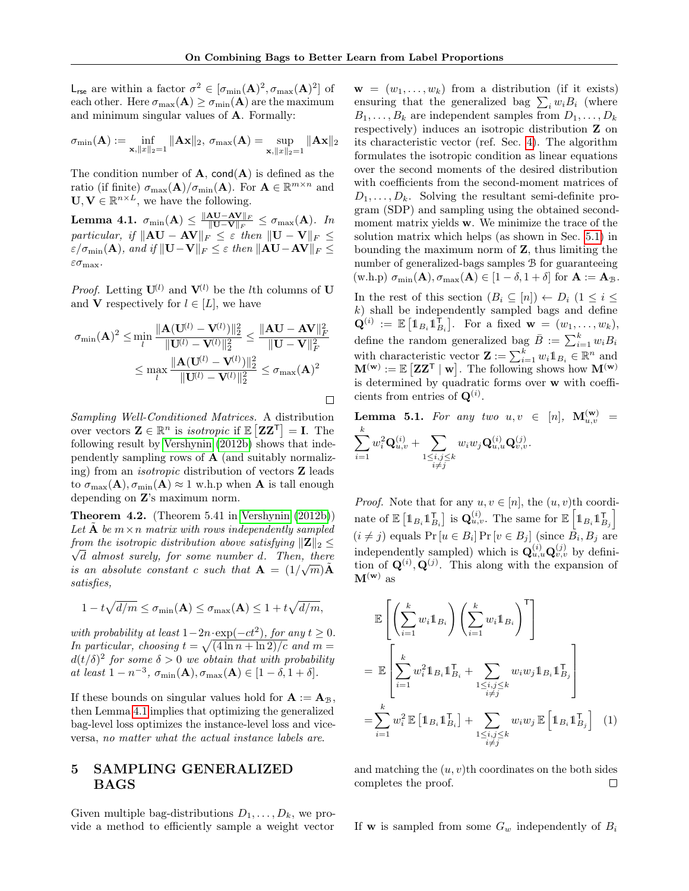$\Box$ 

L<sub>rse</sub> are within a factor  $\sigma^2 \in [\sigma_{\min}(\mathbf{A})^2, \sigma_{\max}(\mathbf{A})^2]$  of each other. Here  $\sigma_{\max}({\bf A}) \ge \sigma_{\min}({\bf A})$  are the maximum and minimum singular values of A. Formally:

$$
\sigma_{\min}(\mathbf{A}) := \inf_{\mathbf{x}, ||x||_2 = 1} \|\mathbf{A}\mathbf{x}\|_2, \ \sigma_{\max}(\mathbf{A}) = \sup_{\mathbf{x}, ||x||_2 = 1} \|\mathbf{A}\mathbf{x}\|_2
$$

The condition number of  $A$ , cond $(A)$  is defined as the ratio (if finite)  $\sigma_{\max}(\mathbf{A})/\sigma_{\min}(\mathbf{A})$ . For  $\mathbf{A} \in \mathbb{R}^{m \times n}$  and  $\mathbf{U}, \mathbf{V} \in \mathbb{R}^{n \times L}$ , we have the following.

<span id="page-3-1"></span> $\textbf{Lemma 4.1.} \ \sigma_{\min}(\mathbf{A}) \leq \frac{\|\mathbf{A}\mathbf{U}-\mathbf{A}\mathbf{V}\|_F}{\|\mathbf{U}-\mathbf{V}\|_F}$  $\frac{\mathbf{A} \mathbf{U}-\mathbf{A} \mathbf{V} \parallel_F}{\|\mathbf{U}-\mathbf{V}\|_F} \leq \sigma_{\max}(\mathbf{A}).$  In particular, if  $\Vert\mathbf{A}\mathbf{U} - \mathbf{A}\mathbf{V}\Vert_F \leq \varepsilon$  then  $\Vert\mathbf{U} - \mathbf{V}\Vert_F \leq$  $\varepsilon/\sigma_{\min}(\mathbf{A})$ , and if  $||\mathbf{U}-\mathbf{V}||_F \leq \varepsilon$  then  $||\mathbf{A}\mathbf{U}-\mathbf{A}\mathbf{V}||_F \leq$  $\varepsilon\sigma_{\max}.$ 

*Proof.* Letting  $\mathbf{U}^{(l)}$  and  $\mathbf{V}^{(l)}$  be the lth columns of U and **V** respectively for  $l \in [L]$ , we have

$$
\sigma_{\min}(\mathbf{A})^2 \le \min_l \frac{\|\mathbf{A}(\mathbf{U}^{(l)} - \mathbf{V}^{(l)})\|_2^2}{\|\mathbf{U}^{(l)} - \mathbf{V}^{(l)}\|_2^2} \le \frac{\|\mathbf{A}\mathbf{U} - \mathbf{A}\mathbf{V}\|_F^2}{\|\mathbf{U} - \mathbf{V}\|_F^2}
$$

$$
\le \max_l \frac{\|\mathbf{A}(\mathbf{U}^{(l)} - \mathbf{V}^{(l)})\|_2^2}{\|\mathbf{U}^{(l)} - \mathbf{V}^{(l)}\|_2^2} \le \sigma_{\max}(\mathbf{A})^2
$$

Sampling Well-Conditioned Matrices. A distribution over vectors  $\mathbf{Z} \in \mathbb{R}^n$  is *isotropic* if  $\mathbb{E} [\mathbf{Z} \mathbf{Z}^\mathsf{T}] = \mathbf{I}$ . The following result by [Vershynin](#page-10-3) [\(2012b\)](#page-10-3) shows that independently sampling rows of  $A$  (and suitably normalizing) from an isotropic distribution of vectors Z leads to  $\sigma_{\max}(\mathbf{A}), \sigma_{\min}(\mathbf{A}) \approx 1$  w.h.p when **A** is tall enough depending on Z's maximum norm.

<span id="page-3-2"></span>Theorem 4.2. (Theorem 5.41 in [Vershynin](#page-10-3) [\(2012b\)](#page-10-3)) Let  $A$  be  $m \times n$  matrix with rows independently sampled from the isotropic distribution above satisfying  $||\mathbf{Z}||_2 \leq$ d almost surely, for some number d. Then, there is an absolute constant c such that  $\mathbf{A} = (1/\sqrt{m})\tilde{\mathbf{A}}$ satisfies,

$$
1 - t\sqrt{d/m} \le \sigma_{\min}(\mathbf{A}) \le \sigma_{\max}(\mathbf{A}) \le 1 + t\sqrt{d/m},
$$

with probability at least  $1-2n \cdot \exp(-ct^2)$ , for any  $t \geq 0$ . In particular, choosing  $t = \sqrt{\frac{4 \ln n + \ln 2}{c}}$  and  $m =$  $d(t/\delta)^2$  for some  $\delta > 0$  we obtain that with probability at least  $1 - n^{-3}$ ,  $\sigma_{\min}(\mathbf{A}), \sigma_{\max}(\mathbf{A}) \in [1 - \delta, 1 + \delta].$ 

If these bounds on singular values hold for  $A := A_{\mathcal{B}}$ , then Lemma [4.1](#page-3-1) implies that optimizing the generalized bag-level loss optimizes the instance-level loss and viceversa, no matter what the actual instance labels are.

## <span id="page-3-0"></span>5 SAMPLING GENERALIZED BAGS

Given multiple bag-distributions  $D_1, \ldots, D_k$ , we provide a method to efficiently sample a weight vector

 $\mathbf{w} = (w_1, \ldots, w_k)$  from a distribution (if it exists) ensuring that the generalized bag  $\sum_i w_i B_i$  (where  $B_1, \ldots, B_k$  are independent samples from  $D_1, \ldots, D_k$ respectively) induces an isotropic distribution Z on its characteristic vector (ref. Sec. [4\)](#page-2-1). The algorithm formulates the isotropic condition as linear equations over the second moments of the desired distribution with coefficients from the second-moment matrices of  $D_1, \ldots, D_k$ . Solving the resultant semi-definite program (SDP) and sampling using the obtained secondmoment matrix yields w. We minimize the trace of the solution matrix which helps (as shown in Sec. [5.1\)](#page-4-1) in bounding the maximum norm of Z, thus limiting the number of generalized-bags samples B for guaranteeing  $(\text{w.h.p}) \ \sigma_{\min}(\mathbf{A}), \sigma_{\max}(\mathbf{A}) \in [1-\delta, 1+\delta] \text{ for } \mathbf{A} := \mathbf{A}_{\mathcal{B}}.$ In the rest of this section  $(B_i \subseteq [n]) \leftarrow D_i$   $(1 \leq i \leq$  $k$ ) shall be independently sampled bags and define  $\mathbf{Q}^{(i)} := \mathbb{E} \left[ \mathbb{1}_{B_i} \mathbb{1}_{B_i}^{\mathsf{T}} \right]$ . For a fixed  $\mathbf{w} = (w_1, \dots, w_k)$ , define the random generalized bag  $\bar{B} := \sum_{i=1}^{k} w_i B_i$ 

with characteristic vector  $\mathbf{Z} := \sum_{i=1}^{k} w_i \mathbb{1}_{B_i} \in \mathbb{R}^n$  and  $\mathbf{M}^{(\mathbf{w})} := \mathbb{E} \left[ \mathbf{Z} \mathbf{Z}^{\mathsf{T}} \mid \mathbf{w} \right]$ . The following shows how  $\mathbf{M}^{(\mathbf{w})}$ is determined by quadratic forms over w with coefficients from entries of  $\mathbf{Q}^{(i)}$ .

**Lemma 5.1.** For any two  $u, v \in [n]$ ,  $\mathbf{M}_{u, v}^{(\mathbf{w})}$  =  $\sum^k$  $i=1$  $w_i^2 \mathbf{Q}^{(i)}_{u,v} + \sum$  $\substack{1 \leq i,j \leq k \\ i \neq j}$  $w_iw_j\mathbf{Q}_{u,u}^{(i)}\mathbf{Q}_{v,v}^{(j)}.$ 

*Proof.* Note that for any  $u, v \in [n]$ , the  $(u, v)$ <sup>th</sup> coordinate of  $\mathbb{E} \left[\mathbb{1}_{B_i} \mathbb{1}_{B_i}^{\mathsf{T}}\right]$  is  $\mathbf{Q}_{u,v}^{(i)}$ . The same for  $\mathbb{E} \left[\mathbb{1}_{B_i} \mathbb{1}_{B_j}^{\mathsf{T}}\right]$  $(i \neq j)$  equals Pr  $[u \in B_i]$  Pr  $[v \in B_j]$  (since  $B_i, B_j$  are independently sampled) which is  $\mathbf{Q}_{u,u}^{(i)}\mathbf{Q}_{v,v}^{(j)}$  by definition of  $\mathbf{Q}^{(i)}$ ,  $\mathbf{Q}^{(j)}$ . This along with the expansion of  $M^{(w)}$  as

$$
\mathbb{E}\left[\left(\sum_{i=1}^{k} w_i \mathbb{1}_{B_i}\right) \left(\sum_{i=1}^{k} w_i \mathbb{1}_{B_i}\right)^{\mathsf{T}}\right]
$$
\n
$$
= \mathbb{E}\left[\sum_{i=1}^{k} w_i^2 \mathbb{1}_{B_i} \mathbb{1}_{B_i}^{\mathsf{T}} + \sum_{\substack{1 \le i,j \le k \\ i \ne j}} w_i w_j \mathbb{1}_{B_i} \mathbb{1}_{B_j}^{\mathsf{T}}\right]
$$
\n
$$
= \sum_{i=1}^{k} w_i^2 \mathbb{E}\left[\mathbb{1}_{B_i} \mathbb{1}_{B_i}^{\mathsf{T}}\right] + \sum_{\substack{1 \le i,j \le k \\ i \ne j}} w_i w_j \mathbb{E}\left[\mathbb{1}_{B_i} \mathbb{1}_{B_j}^{\mathsf{T}}\right] \quad (1)
$$

and matching the  $(u, v)$ <sup>th</sup> coordinates on the both sides completes the proof.  $\Box$ 

If **w** is sampled from some  $G_w$  independently of  $B_i$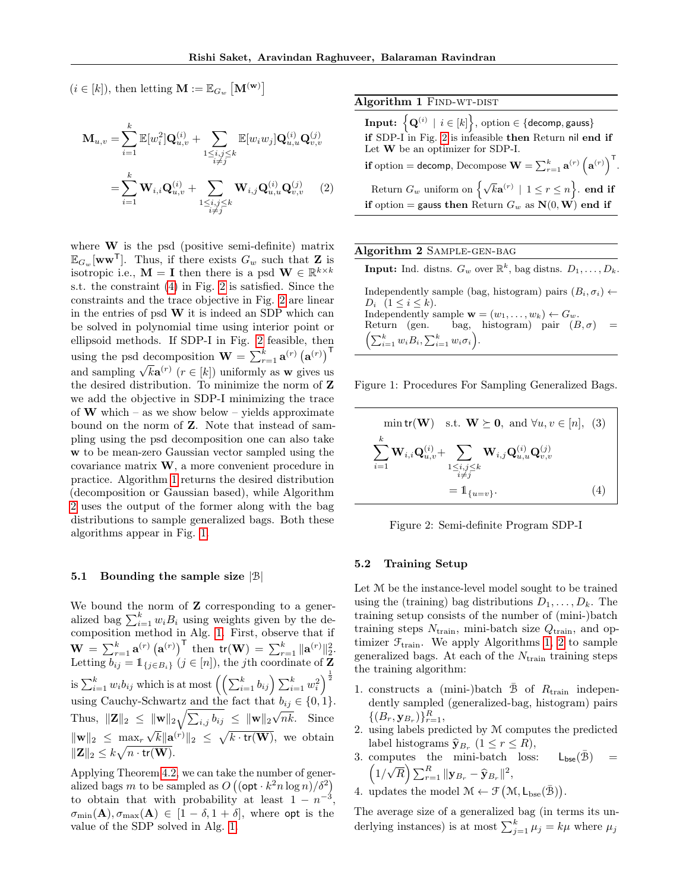$(i \in [k]),$  then letting  $\mathbf{M} := \mathbb{E}_{G_w} [\mathbf{M}^{(\mathbf{w})}]$ 

$$
\mathbf{M}_{u,v} = \sum_{i=1}^{k} \mathbb{E}[w_i^2] \mathbf{Q}_{u,v}^{(i)} + \sum_{\substack{1 \le i,j \le k \\ i \ne j}} \mathbb{E}[w_i w_j] \mathbf{Q}_{u,u}^{(i)} \mathbf{Q}_{v,v}^{(j)}
$$

$$
= \sum_{i=1}^{k} \mathbf{W}_{i,i} \mathbf{Q}_{u,v}^{(i)} + \sum_{\substack{1 \le i,j \le k \\ i \ne j}} \mathbf{W}_{i,j} \mathbf{Q}_{u,u}^{(i)} \mathbf{Q}_{v,v}^{(j)} \qquad (2)
$$

where  $W$  is the psd (positive semi-definite) matrix  $\mathbb{E}_{G_w}[\mathbf{w}\mathbf{w}^{\mathsf{T}}]$ . Thus, if there exists  $G_w$  such that **Z** is isotropic i.e.,  $\mathbf{M} = \mathbf{I}$  then there is a psd  $\mathbf{W} \in \mathbb{R}^{k \times k}$ s.t. the constraint [\(4\)](#page-4-2) in Fig. [2](#page-4-3) is satisfied. Since the constraints and the trace objective in Fig. [2](#page-4-3) are linear in the entries of psd  $W$  it is indeed an SDP which can be solved in polynomial time using interior point or ellipsoid methods. If SDP-I in Fig. [2](#page-4-3) feasible, then using the psd decomposition  $\mathbf{W} = \sum_{r=1}^{k} \mathbf{a}^{(r)} (\mathbf{a}^{(r)})^{\mathsf{T}}$ and sampling  $\sqrt{k} \mathbf{a}^{(r)}$  ( $r \in [k]$ ) uniformly as w gives us the desired distribution. To minimize the norm of Z we add the objective in SDP-I minimizing the trace of **W** which – as we show below – yields approximate bound on the norm of Z. Note that instead of sampling using the psd decomposition one can also take w to be mean-zero Gaussian vector sampled using the covariance matrix W, a more convenient procedure in practice. Algorithm [1](#page-4-4) returns the desired distribution (decomposition or Gaussian based), while Algorithm [2](#page-4-4) uses the output of the former along with the bag distributions to sample generalized bags. Both these algorithms appear in Fig. [1.](#page-4-4)

#### <span id="page-4-1"></span>5.1 Bounding the sample size  $|\mathcal{B}|$

We bound the norm of **Z** corresponding to a generalized bag  $\sum_{i=1}^{k} w_i B_i$  using weights given by the decomposition method in Alg. [1.](#page-4-4) First, observe that if  $\mathbf{W} = \sum_{r=1}^{k} \mathbf{a}^{(r)} (\mathbf{a}^{(r)})^{\mathsf{T}}$  then  $\mathsf{tr}(\mathbf{W}) = \sum_{r=1}^{k} ||\mathbf{a}^{(r)}||_2^2$ . Letting  $\overline{b_{ij}} = \mathbb{1}_{\{j \in B_i\}} (j \in [n])$ , the jth coordinate of Z is  $\sum_{i=1}^k w_i b_{ij}$  which is at most  $\left(\left(\sum_{i=1}^k b_{ij}\right)\sum_{i=1}^k w_i^2\right)^{\frac{1}{2}}$ using Cauchy-Schwartz and the fact that  $b_{ij} \in \{0, 1\}.$ Thus,  $\|\mathbf{Z}\|_2 \leq \|\mathbf{w}\|_2 \sqrt{\sum_{i,j} b_{ij}} \leq \|\mathbf{w}\|_2 \sqrt{nk}$ . Since  $\|\mathbf{w}\|_2 \leq \max_r$ √  $\overline{k}\Vert\mathbf{a}^{(r)}\Vert_2\ \le\ \sqrt{k\cdot\textsf{tr}(\mathbf{W})},$  we obtain  $\|\mathbf{Z}\|_2 \leq k\sqrt{n\cdot\textsf{tr}(\mathbf{W})}.$ 

Applying Theorem [4.2,](#page-3-2) we can take the number of generalized bags m to be sampled as  $O((\mathsf{opt} \cdot k^2 n \log n)/\delta^2)$ to obtain that with probability at least  $1 - n^{-3}$ ,  $\sigma_{\min}(\mathbf{A}), \sigma_{\max}(\mathbf{A}) \in [1-\delta, 1+\delta],$  where opt is the value of the SDP solved in Alg. [1.](#page-4-4)

#### <span id="page-4-4"></span>Algorithm 1 FIND-WT-DIST

<span id="page-4-5"></span> $\textbf{Input:}~~\big\{\mathbf{Q}^{(i)} \, \mid \, i \in [k]\big\}, \, \text{option} \in \{\textsf{decomp}, \textsf{gauss}\}$ if SDP-I in Fig. [2](#page-4-3) is infeasible then Return nil end if Let W be an optimizer for SDP-I. if option = decomp, Decompose  $\mathbf{W} = \sum_{r=1}^{k} \mathbf{a}^{(r)} \left( \mathbf{a}^{(r)} \right)^{\mathsf{T}}$ . Return  $G_w$  uniform on  $\left\{ \sqrt{k} \mathbf{a}^{(r)} \mid 1 \leq r \leq n \right\}$ . **end if** if option = gauss then Return  $G_w$  as  $N(0, W)$  end if

### Algorithm 2 Sample-gen-bag

**Input:** Ind. distns.  $G_w$  over  $\mathbb{R}^k$ , bag distns.  $D_1, \ldots, D_k$ . Independently sample (bag, histogram) pairs  $(B_i, \sigma_i) \leftarrow$  $D_i$   $(1 \leq i \leq k)$ . Independently sample  $\mathbf{w} = (w_1, \ldots, w_k) \leftarrow G_w$ . Return (gen. bag, histogram) pair  $(B, \sigma)$  =  $\left(\sum_{i=1}^k w_i B_i, \sum_{i=1}^k w_i \sigma_i\right).$ 

<span id="page-4-3"></span>Figure 1: Procedures For Sampling Generalized Bags.

$$
\min \mathbf{tr}(\mathbf{W}) \quad \text{s.t.} \quad \mathbf{W} \succeq \mathbf{0}, \text{ and } \forall u, v \in [n], \tag{3}
$$
\n
$$
\sum_{i=1}^{k} \mathbf{W}_{i,i} \mathbf{Q}_{u,v}^{(i)} + \sum_{\substack{1 \le i,j \le k \\ i \ne j}} \mathbf{W}_{i,j} \mathbf{Q}_{u,u}^{(i)} \mathbf{Q}_{v,v}^{(j)}
$$
\n
$$
= \mathbb{1}_{\{u=v\}}.
$$
\n
$$
(4)
$$

<span id="page-4-2"></span>Figure 2: Semi-definite Program SDP-I

#### <span id="page-4-0"></span>5.2 Training Setup

Let M be the instance-level model sought to be trained using the (training) bag distributions  $D_1, \ldots, D_k$ . The training setup consists of the number of (mini-)batch training steps  $N_{\text{train}}$ , mini-batch size  $Q_{\text{train}}$ , and optimizer  $\mathcal{F}_{\text{train}}$ . We apply Algorithms [1, 2](#page-4-4) to sample generalized bags. At each of the  $N_{\text{train}}$  training steps the training algorithm:

- 1. constructs a (mini-)batch  $\bar{\mathcal{B}}$  of  $R_{\text{train}}$  independently sampled (generalized-bag, histogram) pairs  $\{(B_r, \mathbf{y}_{B_r})\}_{r=1}^R$
- 2. using labels predicted by M computes the predicted label histograms  $\hat{\mathbf{y}}_{B_r}$   $(1 \leq r \leq R)$ ,
- 3. computes the mini-batch loss:  $L_{\text{bse}}(\bar{\mathcal{B}})$  =  $\left(1\right)$ µ<br>∫  $\overline{R}\Big)\sum_{r=1}^R\|\mathbf{y}_{B_r} - \widehat{\mathbf{y}}_{B_r}\|^2,$
- 4. updates the model  $\mathcal{M} \leftarrow \mathcal{F}(\mathcal{M}, L_{\text{bse}}(\bar{\mathcal{B}})).$

The average size of a generalized bag (in terms its underlying instances) is at most  $\sum_{j=1}^{k} \mu_j = k\mu$  where  $\mu_j$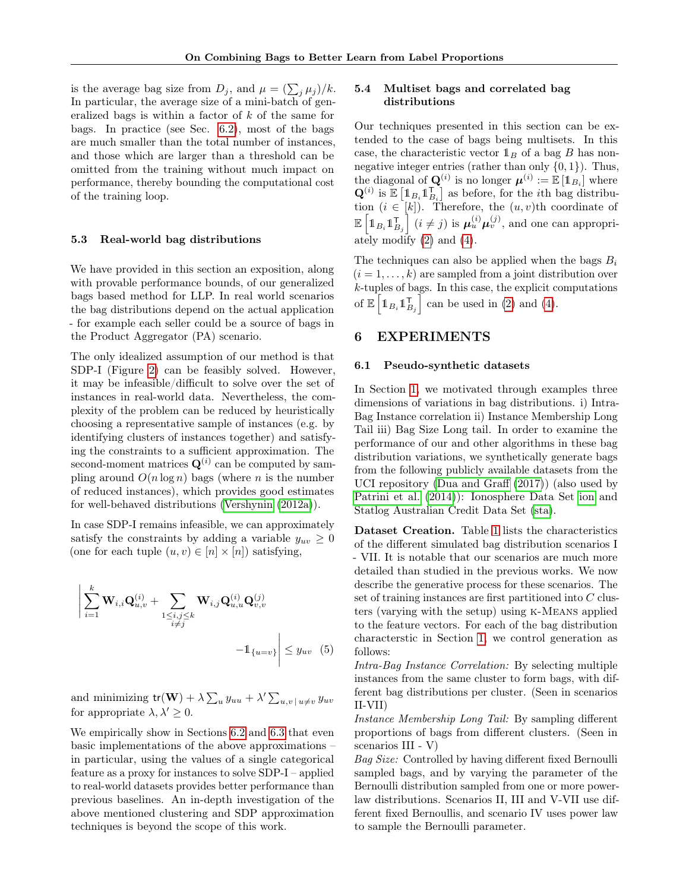is the average bag size from  $D_j$ , and  $\mu = (\sum_j \mu_j)/k$ . In particular, the average size of a mini-batch of generalized bags is within a factor of k of the same for bags. In practice (see Sec. [6.2\)](#page-7-0), most of the bags are much smaller than the total number of instances, and those which are larger than a threshold can be omitted from the training without much impact on performance, thereby bounding the computational cost of the training loop.

### <span id="page-5-2"></span>5.3 Real-world bag distributions

We have provided in this section an exposition, along with provable performance bounds, of our generalized bags based method for LLP. In real world scenarios the bag distributions depend on the actual application - for example each seller could be a source of bags in the Product Aggregator (PA) scenario.

The only idealized assumption of our method is that SDP-I (Figure [2\)](#page-4-3) can be feasibly solved. However, it may be infeasible/difficult to solve over the set of instances in real-world data. Nevertheless, the complexity of the problem can be reduced by heuristically choosing a representative sample of instances (e.g. by identifying clusters of instances together) and satisfying the constraints to a sufficient approximation. The second-moment matrices  $\mathbf{Q}^{(i)}$  can be computed by sampling around  $O(n \log n)$  bags (where n is the number of reduced instances), which provides good estimates for well-behaved distributions [\(Vershynin](#page-10-4) [\(2012a\)](#page-10-4)).

In case SDP-I remains infeasible, we can approximately satisfy the constraints by adding a variable  $y_{uv} \geq 0$ (one for each tuple  $(u, v) \in [n] \times [n]$ ) satisfying,

$$
\left| \sum_{i=1}^{k} \mathbf{W}_{i,i} \mathbf{Q}_{u,v}^{(i)} + \sum_{\substack{1 \le i,j \le k \\ i \ne j}} \mathbf{W}_{i,j} \mathbf{Q}_{u,u}^{(i)} \mathbf{Q}_{v,v}^{(j)} - \mathbf{1}_{\{u=v\}} \right| \le y_{uv} \quad (5)
$$

and minimizing  $tr(\mathbf{W}) + \lambda \sum_{u} y_{uu} + \lambda' \sum_{u,v} y_{uv} y_{uv}$ for appropriate  $\lambda, \lambda' \geq 0$ .

We empirically show in Sections [6.2](#page-7-0) and [6.3](#page-8-0) that even basic implementations of the above approximations – in particular, using the values of a single categorical feature as a proxy for instances to solve SDP-I – applied to real-world datasets provides better performance than previous baselines. An in-depth investigation of the above mentioned clustering and SDP approximation techniques is beyond the scope of this work.

## <span id="page-5-1"></span>5.4 Multiset bags and correlated bag distributions

Our techniques presented in this section can be extended to the case of bags being multisets. In this case, the characteristic vector  $\mathbb{1}_B$  of a bag B has nonnegative integer entries (rather than only  $\{0, 1\}$ ). Thus, the diagonal of  $\mathbf{Q}^{(i)}$  is no longer  $\boldsymbol{\mu}^{(i)} := \mathbb{E} [\mathbb{1}_{B_i}]$  where  $\mathbf{Q}^{(i)}$  is  $\mathbb{E}\left[\mathbbm{1}_{B_i}\mathbbm{1}_{B_i}^{\mathsf{T}}\right]$  as before, for the *i*th bag distribution  $(i \in [k])$ . Therefore, the  $(u, v)$ th coordinate of  $\mathbb{E}\left[\mathbb{1}_{B_i}\mathbb{1}_{B_j}^{\mathsf{T}}\right]$   $(i \neq j)$  is  $\mu_u^{(i)}\mu_v^{(j)}$ , and one can appropriately modify [\(2\)](#page-4-5) and [\(4\)](#page-4-2).

The techniques can also be applied when the bags  $B_i$  $(i = 1, \ldots, k)$  are sampled from a joint distribution over k-tuples of bags. In this case, the explicit computations of  $\mathbb{E}\left[\mathbb{1}_{B_i}\mathbb{1}_{B_j}^{\mathsf{T}}\right]$  can be used in [\(2\)](#page-4-5) and [\(4\)](#page-4-2).

### <span id="page-5-0"></span>6 EXPERIMENTS

#### <span id="page-5-3"></span>6.1 Pseudo-synthetic datasets

In Section [1,](#page-0-0) we motivated through examples three dimensions of variations in bag distributions. i) Intra-Bag Instance correlation ii) Instance Membership Long Tail iii) Bag Size Long tail. In order to examine the performance of our and other algorithms in these bag distribution variations, we synthetically generate bags from the following publicly available datasets from the UCI repository [\(Dua and Graff](#page-9-19) [\(2017\)](#page-9-19)) (also used by [Patrini et al.](#page-9-4) [\(2014\)](#page-9-4)): Ionosphere Data Set [ion](#page-8-1) and Statlog Australian Credit Data Set [\(sta\)](#page-9-20).

Dataset Creation. Table [1](#page-6-0) lists the characteristics of the different simulated bag distribution scenarios I - VII. It is notable that our scenarios are much more detailed than studied in the previous works. We now describe the generative process for these scenarios. The set of training instances are first partitioned into C clusters (varying with the setup) using k-Means applied to the feature vectors. For each of the bag distribution characterstic in Section [1,](#page-0-0) we control generation as follows:

<span id="page-5-4"></span>Intra-Bag Instance Correlation: By selecting multiple instances from the same cluster to form bags, with different bag distributions per cluster. (Seen in scenarios II-VII)

Instance Membership Long Tail: By sampling different proportions of bags from different clusters. (Seen in scenarios III - V)

Bag Size: Controlled by having different fixed Bernoulli sampled bags, and by varying the parameter of the Bernoulli distribution sampled from one or more powerlaw distributions. Scenarios II, III and V-VII use different fixed Bernoullis, and scenario IV uses power law to sample the Bernoulli parameter.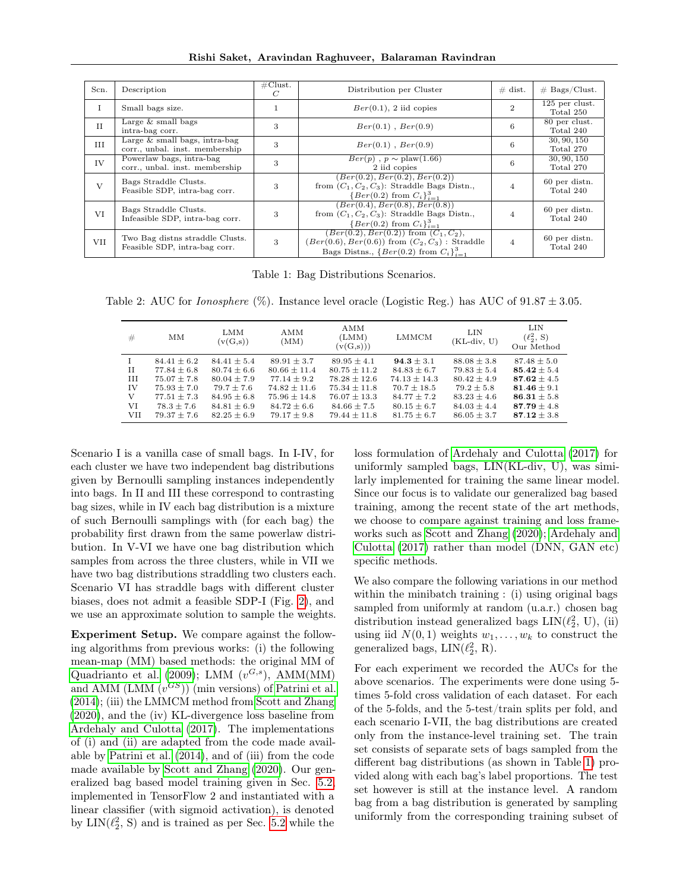Rishi Saket, Aravindan Raghuveer, Balaraman Ravindran

<span id="page-6-0"></span>

| Scn.         | Description                                                                                   | $\#\text{Clust.}$<br>$\,C$ | Distribution per Cluster                                                                                                                                    | $\#$ dist.     | $#$ Bags/Clust.             |
|--------------|-----------------------------------------------------------------------------------------------|----------------------------|-------------------------------------------------------------------------------------------------------------------------------------------------------------|----------------|-----------------------------|
|              | Small bags size.                                                                              |                            | $Ber(0.1), 2$ iid copies                                                                                                                                    | $\mathcal{D}$  | 125 per clust.<br>Total 250 |
| II           | Large $\&$ small bags<br>intra-bag corr.                                                      | 3                          | $Ber(0.1)$ , $Ber(0.9)$                                                                                                                                     | 6              | 80 per clust.<br>Total 240  |
| III          | $\overline{\text{Large } \& \text{ small bags, intra-bag}}$<br>corr., unbal. inst. membership | 3                          | $Ber(0.1)$ , $Ber(0.9)$                                                                                                                                     | 6              | 30, 90, 150<br>Total 270    |
| IV           | Powerlaw bags, intra-bag<br>corr., unbal. inst. membership                                    | 3                          | $Ber(p), p \sim \text{plaw}(1.66)$<br>2 iid copies                                                                                                          | 6              | 30, 90, 150<br>Total 270    |
| $\mathbf{V}$ | Bags Straddle Clusts.<br>Feasible SDP, intra-bag corr.                                        | 3                          | (Ber(0.2), Ber(0.2), Ber(0.2))<br>from $(C_1, C_2, C_3)$ : Straddle Bags Distn.,<br>$\{Ber(0.2) from C_i\}_{i=1}^3$                                         |                | 60 per distn.<br>Total 240  |
| VI           | Bags Straddle Clusts.<br>Infeasible SDP, intra-bag corr.                                      | 3                          | (Ber(0.4), Ber(0.8), Ber(0.8))<br>from $(C_1, C_2, C_3)$ : Straddle Bags Distn.,<br>${Ber(0.2) from C_i}_{i=1}^3$                                           |                | 60 per distn.<br>Total 240  |
| <b>VII</b>   | Two Bag distns straddle Clusts.<br>Feasible SDP, intra-bag corr.                              | 3                          | $(Ber(0.2), Ber(0.2))$ from $(C_1, C_2)$ ,<br>$(Ber(0.6), Ber(0.6))$ from $(C_2, C_3)$ : Straddle<br>Bags Distns., $\{Ber(0.2) \text{ from } C_i\}_{i=1}^3$ | $\overline{4}$ | 60 per distn.<br>Total 240  |

Table 1: Bag Distributions Scenarios.

<span id="page-6-1"></span>Table 2: AUC for *Ionosphere* (%). Instance level oracle (Logistic Reg.) has AUC of  $91.87 \pm 3.05$ .

| #                                | MМ                                                                                                                           | LMM<br>(v(G,s))                                                                                                                  | AMM<br>(MM)                                                                                                                      | AMM<br>(LMM)<br>(v(G,s)))                                                                                                          | LMMCM                                                                                                                         | LIN<br>(KL-div, U)                                                                                                             | LIN<br>$(\ell_2^2, S)$<br>Our Method                                                                                      |
|----------------------------------|------------------------------------------------------------------------------------------------------------------------------|----------------------------------------------------------------------------------------------------------------------------------|----------------------------------------------------------------------------------------------------------------------------------|------------------------------------------------------------------------------------------------------------------------------------|-------------------------------------------------------------------------------------------------------------------------------|--------------------------------------------------------------------------------------------------------------------------------|---------------------------------------------------------------------------------------------------------------------------|
| H<br>III<br>IV<br>V<br>VI<br>VII | $84.41 \pm 6.2$<br>$77.84 \pm 6.8$<br>$75.07 \pm 7.8$<br>$75.93 \pm 7.0$<br>$77.51 + 7.3$<br>$78.3 + 7.6$<br>$79.37 \pm 7.6$ | $84.41 \pm 5.4$<br>$80.74 \pm 6.6$<br>$80.04 \pm 7.9$<br>$79.7 \pm 7.6$<br>$84.95 \pm 6.8$<br>$84.81 \pm 6.9$<br>$82.25 \pm 6.9$ | $89.91 \pm 3.7$<br>$80.66 \pm 11.4$<br>$77.14 \pm 9.2$<br>$74.82 \pm 11.6$<br>$75.96 + 14.8$<br>$84.72 + 6.6$<br>$79.17 \pm 9.8$ | $89.95 \pm 4.1$<br>$80.75 + 11.2$<br>$78.28 \pm 12.6$<br>$75.34 \pm 11.8$<br>$76.07 + 13.3$<br>$84.66 \pm 7.5$<br>$79.44 \pm 11.8$ | $94.3 \pm 3.1$<br>$84.83 \pm 6.7$<br>$74.13 + 14.3$<br>$70.7 \pm 18.5$<br>$84.77 + 7.2$<br>$80.15 \pm 6.7$<br>$81.75 \pm 6.7$ | $88.08 \pm 3.8$<br>$79.83 \pm 5.4$<br>$80.42 + 4.9$<br>$79.2 \pm 5.8$<br>$83.23 \pm 4.6$<br>$84.03 \pm 4.4$<br>$86.05 \pm 3.7$ | $87.48 \pm 5.0$<br>$85.42 + 5.4$<br>$87.62 + 4.5$<br>81.46 $\pm$ 9.1<br>$86.31 + 5.8$<br>$87.79 + 4.8$<br>$87.12 \pm 3.8$ |

Scenario I is a vanilla case of small bags. In I-IV, for each cluster we have two independent bag distributions given by Bernoulli sampling instances independently into bags. In II and III these correspond to contrasting bag sizes, while in IV each bag distribution is a mixture of such Bernoulli samplings with (for each bag) the probability first drawn from the same powerlaw distribution. In V-VI we have one bag distribution which samples from across the three clusters, while in VII we have two bag distributions straddling two clusters each. Scenario VI has straddle bags with different cluster biases, does not admit a feasible SDP-I (Fig. [2\)](#page-4-3), and we use an approximate solution to sample the weights.

Experiment Setup. We compare against the following algorithms from previous works: (i) the following mean-map (MM) based methods: the original MM of [Quadrianto et al.](#page-9-3) [\(2009\)](#page-9-3); LMM  $(v^{G,s})$ , AMM(MM) and AMM  $(LMM(v^{GS}))$  (min versions) of [Patrini et al.](#page-9-4) [\(2014\)](#page-9-4); (iii) the LMMCM method from [Scott and Zhang](#page-9-17) [\(2020\)](#page-9-17), and the (iv) KL-divergence loss baseline from [Ardehaly and Culotta](#page-9-13) [\(2017\)](#page-9-13). The implementations of (i) and (ii) are adapted from the code made available by [Patrini et al.](#page-9-4) [\(2014\)](#page-9-4), and of (iii) from the code made available by [Scott and Zhang](#page-9-17) [\(2020\)](#page-9-17). Our generalized bag based model training given in Sec. [5.2,](#page-4-0) implemented in TensorFlow 2 and instantiated with a linear classifier (with sigmoid activation), is denoted by  $LIN(\ell_2^2, S)$  and is trained as per Sec. [5.2](#page-4-0) while the

loss formulation of [Ardehaly and Culotta](#page-9-13) [\(2017\)](#page-9-13) for uniformly sampled bags, LIN(KL-div, U), was similarly implemented for training the same linear model. Since our focus is to validate our generalized bag based training, among the recent state of the art methods, we choose to compare against training and loss frameworks such as [Scott and Zhang](#page-9-17) [\(2020\)](#page-9-17); [Ardehaly and](#page-9-13) [Culotta](#page-9-13) [\(2017\)](#page-9-13) rather than model (DNN, GAN etc) specific methods.

We also compare the following variations in our method within the minibatch training : (i) using original bags sampled from uniformly at random (u.a.r.) chosen bag distribution instead generalized bags  $LIN(\ell_2^2, U),$  (ii) using iid  $N(0, 1)$  weights  $w_1, \ldots, w_k$  to construct the generalized bags,  $LIN(\ell_2^2, R)$ .

For each experiment we recorded the AUCs for the above scenarios. The experiments were done using 5 times 5-fold cross validation of each dataset. For each of the 5-folds, and the 5-test/train splits per fold, and each scenario I-VII, the bag distributions are created only from the instance-level training set. The train set consists of separate sets of bags sampled from the different bag distributions (as shown in Table [1\)](#page-6-0) provided along with each bag's label proportions. The test set however is still at the instance level. A random bag from a bag distribution is generated by sampling uniformly from the corresponding training subset of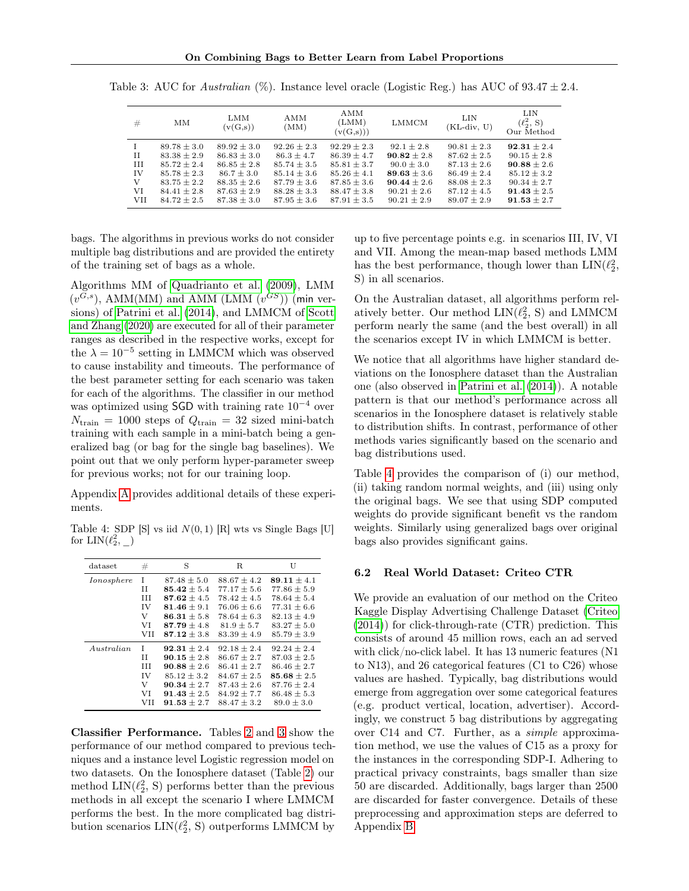| #           | MМ              | LMM<br>(v(G,s)) | AMM<br>(MM)     | AMM<br>(LMM)<br>(v(G,s))) | LMMCM           | LIN<br>$(KL-div, U)$ | LIN<br>$(\ell_2^2, S)$<br>Our Method |
|-------------|-----------------|-----------------|-----------------|---------------------------|-----------------|----------------------|--------------------------------------|
|             | $89.78 \pm 3.0$ | $89.92 \pm 3.0$ | $92.26 \pm 2.3$ | $92.29 \pm 2.3$           | $92.1 + 2.8$    | $90.81 \pm 2.3$      | $92.31 \pm 2.4$                      |
| $_{\rm II}$ | $83.38 \pm 2.9$ | $86.83 \pm 3.0$ | $86.3 + 4.7$    | $86.39 + 4.7$             | $90.82 \pm 2.8$ | $87.62 + 2.5$        | $90.15 \pm 2.8$                      |
| III         | $85.72 + 2.4$   | $86.85 \pm 2.8$ | $85.74 \pm 3.5$ | $85.81 \pm 3.7$           | $90.0 \pm 3.0$  | $87.13 \pm 2.6$      | $90.88 \pm 2.6$                      |
| IV          | $85.78 \pm 2.3$ | $86.7 \pm 3.0$  | $85.14 \pm 3.6$ | $85.26 \pm 4.1$           | $89.63 \pm 3.6$ | $86.49 + 2.4$        | $85.12 \pm 3.2$                      |
| V           | $83.75 + 2.2$   | $88.35 + 2.6$   | $87.79 + 3.6$   | $87.85 + 3.6$             | $90.44 + 2.6$   | $88.08 + 2.3$        | $90.34 + 2.7$                        |
| VI          | $84.41 + 2.8$   | $87.63 \pm 2.9$ | $88.28 \pm 3.3$ | $88.47 + 3.8$             | $90.21 + 2.6$   | $87.12 + 4.5$        | $91.43 \pm 2.5$                      |
| VII         | $84.72 + 2.5$   | $87.38 \pm 3.0$ | $87.95 \pm 3.6$ | $87.91 + 3.5$             | $90.21 + 2.9$   | $89.07 + 2.9$        | $91.53 \pm 2.7$                      |

<span id="page-7-1"></span>Table 3: AUC for *Australian*  $(\%)$ . Instance level oracle (Logistic Reg.) has AUC of  $93.47 \pm 2.4$ .

bags. The algorithms in previous works do not consider multiple bag distributions and are provided the entirety of the training set of bags as a whole.

Algorithms MM of [Quadrianto et al.](#page-9-3) [\(2009\)](#page-9-3), LMM  $(v^{G,s})$ , AMM(MM) and AMM (LMM  $(v^{GS})$ ) (min versions) of [Patrini et al.](#page-9-4) [\(2014\)](#page-9-4), and LMMCM of [Scott](#page-9-17) [and Zhang](#page-9-17) [\(2020\)](#page-9-17) are executed for all of their parameter ranges as described in the respective works, except for the  $\lambda = 10^{-5}$  setting in LMMCM which was observed to cause instability and timeouts. The performance of the best parameter setting for each scenario was taken for each of the algorithms. The classifier in our method was optimized using SGD with training rate  $10^{-4}$  over  $N_{\text{train}} = 1000$  steps of  $Q_{\text{train}} = 32$  sized mini-batch training with each sample in a mini-batch being a generalized bag (or bag for the single bag baselines). We point out that we only perform hyper-parameter sweep for previous works; not for our training loop.

Appendix [A](#page-11-0) provides additional details of these experiments.

<span id="page-7-2"></span>Table 4: SDP [S] vs iid  $N(0, 1)$  [R] wts vs Single Bags [U] for  $\text{LIN}(\ell_2^2, \_\_)$ 

| dataset       | #          | S               | R.              | U               |
|---------------|------------|-----------------|-----------------|-----------------|
| Ionosphere    | Т          | $87.48 + 5.0$   | $88.67 + 4.2$   | $89.11 + 4.1$   |
|               | П          | $85.42 \pm 5.4$ | $77.17 \pm 5.6$ | $77.86 \pm 5.9$ |
|               | Ш          | $87.62 + 4.5$   | $78.42 + 4.5$   | $78.64 \pm 5.4$ |
|               | IV         | 81.46 $\pm$ 9.1 | $76.06 \pm 6.6$ | $77.31 \pm 6.6$ |
|               | V          | $86.31 + 5.8$   | $78.64 + 6.3$   | $82.13 + 4.9$   |
|               | VI         | $87.79 + 4.8$   | $81.9 + 5.7$    | $83.27 + 5.0$   |
|               | <b>VII</b> | $87.12 + 3.8$   | $83.39 + 4.9$   | $85.79 + 3.9$   |
| $A$ ustralian | Т          | $92.31 \pm 2.4$ | $92.18 \pm 2.4$ | $92.24 \pm 2.4$ |
|               | H          | $90.15 + 2.8$   | $86.67 + 2.7$   | $87.03 + 2.5$   |
|               | Ш          | $90.88 + 2.6$   | $86.41 + 2.7$   | $86.46 + 2.7$   |
|               | IV         | $85.12 + 3.2$   | $84.67 + 2.5$   | $85.68 + 2.5$   |
|               | V          | $90.34 \pm 2.7$ | $87.43 \pm 2.6$ | $87.76 \pm 2.4$ |
|               | VI         | $91.43 + 2.5$   | $84.92 + 7.7$   | $86.48 + 5.3$   |
|               | VH         | $91.53 \pm 2.7$ | $88.47 \pm 3.2$ | $89.0 \pm 3.0$  |

Classifier Performance. Tables [2](#page-6-1) and [3](#page-7-1) show the performance of our method compared to previous techniques and a instance level Logistic regression model on two datasets. On the Ionosphere dataset (Table [2\)](#page-6-1) our method  $\text{LIN}(\ell_2^2, S)$  performs better than the previous methods in all except the scenario I where LMMCM performs the best. In the more complicated bag distribution scenarios  $\text{LIN}(\ell_2^2, S)$  outperforms LMMCM by up to five percentage points e.g. in scenarios III, IV, VI and VII. Among the mean-map based methods LMM has the best performance, though lower than  $\text{LIN}(\ell^2_2,$ S) in all scenarios.

On the Australian dataset, all algorithms perform relatively better. Our method  $LIN(\ell_2^2, S)$  and LMMCM perform nearly the same (and the best overall) in all the scenarios except IV in which LMMCM is better.

We notice that all algorithms have higher standard deviations on the Ionosphere dataset than the Australian one (also observed in [Patrini et al.](#page-9-4) [\(2014\)](#page-9-4)). A notable pattern is that our method's performance across all scenarios in the Ionosphere dataset is relatively stable to distribution shifts. In contrast, performance of other methods varies significantly based on the scenario and bag distributions used.

Table [4](#page-7-2) provides the comparison of (i) our method, (ii) taking random normal weights, and (iii) using only the original bags. We see that using SDP computed weights do provide significant benefit vs the random weights. Similarly using generalized bags over original bags also provides significant gains.

#### <span id="page-7-0"></span>6.2 Real World Dataset: Criteo CTR

We provide an evaluation of our method on the Criteo Kaggle Display Advertising Challenge Dataset [\(Criteo](#page-9-21) [\(2014\)](#page-9-21)) for click-through-rate (CTR) prediction. This consists of around 45 million rows, each an ad served with click/no-click label. It has 13 numeric features (N1 to N13), and 26 categorical features (C1 to C26) whose values are hashed. Typically, bag distributions would emerge from aggregation over some categorical features (e.g. product vertical, location, advertiser). Accordingly, we construct 5 bag distributions by aggregating over C14 and C7. Further, as a simple approximation method, we use the values of C15 as a proxy for the instances in the corresponding SDP-I. Adhering to practical privacy constraints, bags smaller than size 50 are discarded. Additionally, bags larger than 2500 are discarded for faster convergence. Details of these preprocessing and approximation steps are deferred to Appendix [B.](#page-11-1)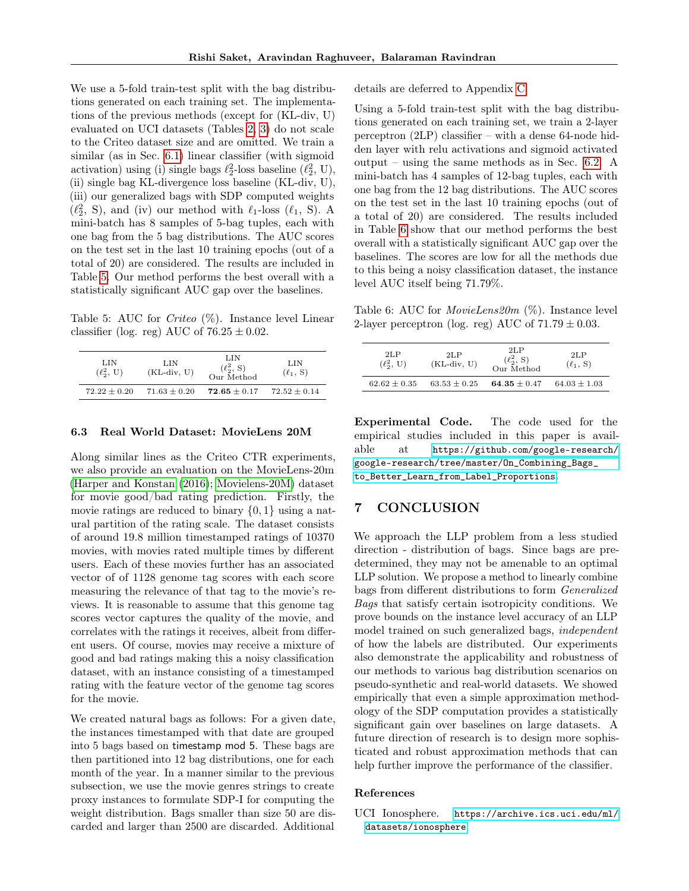We use a 5-fold train-test split with the bag distributions generated on each training set. The implementations of the previous methods (except for (KL-div, U) evaluated on UCI datasets (Tables [2,](#page-6-1) [3\)](#page-7-1) do not scale to the Criteo dataset size and are omitted. We train a similar (as in Sec. [6.1\)](#page-5-3) linear classifier (with sigmoid activation) using (i) single bags  $\ell_2^2$ -loss baseline  $(\ell_2^2, U)$ , (ii) single bag KL-divergence loss baseline (KL-div, U), (iii) our generalized bags with SDP computed weights  $(\ell_2^2, S)$ , and (iv) our method with  $\ell_1$ -loss  $(\ell_1, S)$ . A mini-batch has 8 samples of 5-bag tuples, each with one bag from the 5 bag distributions. The AUC scores on the test set in the last 10 training epochs (out of a total of 20) are considered. The results are included in Table [5.](#page-8-2) Our method performs the best overall with a statistically significant AUC gap over the baselines.

<span id="page-8-2"></span>Table 5: AUC for *Criteo*  $(\%)$ . Instance level Linear classifier (log. reg) AUC of  $76.25 \pm 0.02$ .

| LIN<br>$(\ell_2^2, U)$ | LIN<br>$(KL-div, U)$ | LIN<br>$(\ell_2^2, S)$<br>Our Method | LIN<br>$(\ell_1, S)$ |  |
|------------------------|----------------------|--------------------------------------|----------------------|--|
| $72.22 + 0.20$         | $71.63 \pm 0.20$     | $72.65 \pm 0.17$                     | $72.52 \pm 0.14$     |  |

### <span id="page-8-0"></span>6.3 Real World Dataset: MovieLens 20M

Along similar lines as the Criteo CTR experiments, we also provide an evaluation on the MovieLens-20m [\(Harper and Konstan](#page-9-22) [\(2016\)](#page-9-22); [Movielens-20M\)](#page-9-23) dataset for movie good/bad rating prediction. Firstly, the movie ratings are reduced to binary  $\{0, 1\}$  using a natural partition of the rating scale. The dataset consists of around 19.8 million timestamped ratings of 10370 movies, with movies rated multiple times by different users. Each of these movies further has an associated vector of of 1128 genome tag scores with each score measuring the relevance of that tag to the movie's reviews. It is reasonable to assume that this genome tag scores vector captures the quality of the movie, and correlates with the ratings it receives, albeit from different users. Of course, movies may receive a mixture of good and bad ratings making this a noisy classification dataset, with an instance consisting of a timestamped rating with the feature vector of the genome tag scores for the movie.

We created natural bags as follows: For a given date, the instances timestamped with that date are grouped into 5 bags based on timestamp mod 5. These bags are then partitioned into 12 bag distributions, one for each month of the year. In a manner similar to the previous subsection, we use the movie genres strings to create proxy instances to formulate SDP-I for computing the weight distribution. Bags smaller than size 50 are discarded and larger than 2500 are discarded. Additional details are deferred to Appendix [C.](#page-13-0)

Using a 5-fold train-test split with the bag distributions generated on each training set, we train a 2-layer perceptron (2LP) classifier – with a dense 64-node hidden layer with relu activations and sigmoid activated output – using the same methods as in Sec. [6.2.](#page-7-0) A mini-batch has 4 samples of 12-bag tuples, each with one bag from the 12 bag distributions. The AUC scores on the test set in the last 10 training epochs (out of a total of 20) are considered. The results included in Table [6](#page-8-3) show that our method performs the best overall with a statistically significant AUC gap over the baselines. The scores are low for all the methods due to this being a noisy classification dataset, the instance level AUC itself being 71.79%.

<span id="page-8-3"></span>Table 6: AUC for *MovieLens20m*  $(\%)$ . Instance level 2-layer perceptron (log. reg) AUC of  $71.79 \pm 0.03$ .

| 2LP<br>$(\ell_2^2, U)$ | 2LP<br>$(KL-div, U)$ | 2LP<br>$(\ell_2^2, S)$<br>Our Method | 2LP<br>$(\ell_1, S)$ |
|------------------------|----------------------|--------------------------------------|----------------------|
| $62.62 + 0.35$         | $63.53 \pm 0.25$     | 64.35 $\pm$ 0.47                     | $64.03 \pm 1.03$     |

Experimental Code. The code used for the empirical studies included in this paper is available at [https://github.com/google-research/](https://github.com/google-research/google-research/tree/master/On_Combining_Bags_to_Better_Learn_from_Label_Proportions) [google-research/tree/master/On\\_Combining\\_Bags\\_](https://github.com/google-research/google-research/tree/master/On_Combining_Bags_to_Better_Learn_from_Label_Proportions) [to\\_Better\\_Learn\\_from\\_Label\\_Proportions](https://github.com/google-research/google-research/tree/master/On_Combining_Bags_to_Better_Learn_from_Label_Proportions).

## 7 CONCLUSION

We approach the LLP problem from a less studied direction - distribution of bags. Since bags are predetermined, they may not be amenable to an optimal LLP solution. We propose a method to linearly combine bags from different distributions to form Generalized Bags that satisfy certain isotropicity conditions. We prove bounds on the instance level accuracy of an LLP model trained on such generalized bags, independent of how the labels are distributed. Our experiments also demonstrate the applicability and robustness of our methods to various bag distribution scenarios on pseudo-synthetic and real-world datasets. We showed empirically that even a simple approximation methodology of the SDP computation provides a statistically significant gain over baselines on large datasets. A future direction of research is to design more sophisticated and robust approximation methods that can help further improve the performance of the classifier.

#### References

<span id="page-8-1"></span>UCI Ionosphere. [https://archive.ics.uci.edu/ml/](https://archive.ics.uci.edu/ml/datasets/ionosphere) [datasets/ionosphere](https://archive.ics.uci.edu/ml/datasets/ionosphere).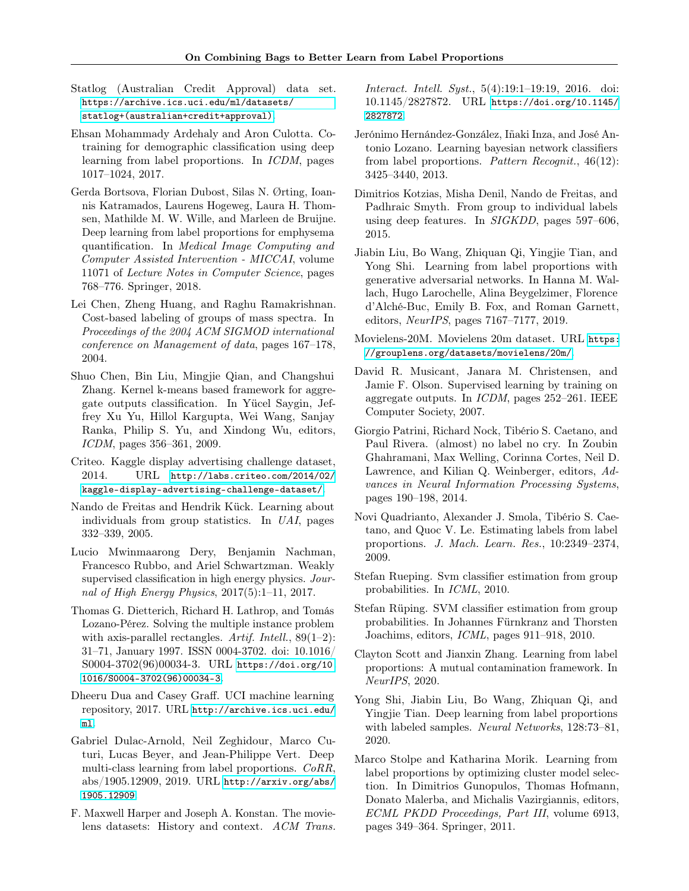- <span id="page-9-20"></span>Statlog (Australian Credit Approval) data set. [https://archive.ics.uci.edu/ml/datasets/](https://archive.ics.uci.edu/ml/datasets/statlog+(australian+credit+approval)) [statlog+\(australian+credit+approval\)](https://archive.ics.uci.edu/ml/datasets/statlog+(australian+credit+approval)).
- <span id="page-9-13"></span>Ehsan Mohammady Ardehaly and Aron Culotta. Cotraining for demographic classification using deep learning from label proportions. In ICDM, pages 1017–1024, 2017.
- <span id="page-9-12"></span>Gerda Bortsova, Florian Dubost, Silas N. Ørting, Ioannis Katramados, Laurens Hogeweg, Laura H. Thomsen, Mathilde M. W. Wille, and Marleen de Bruijne. Deep learning from label proportions for emphysema quantification. In Medical Image Computing and Computer Assisted Intervention - MICCAI, volume 11071 of Lecture Notes in Computer Science, pages 768–776. Springer, 2018.
- <span id="page-9-2"></span>Lei Chen, Zheng Huang, and Raghu Ramakrishnan. Cost-based labeling of groups of mass spectra. In Proceedings of the 2004 ACM SIGMOD international conference on Management of data, pages 167–178, 2004.
- <span id="page-9-6"></span>Shuo Chen, Bin Liu, Mingjie Qian, and Changshui Zhang. Kernel k-means based framework for aggregate outputs classification. In Yücel Saygin, Jeffrey Xu Yu, Hillol Kargupta, Wei Wang, Sanjay Ranka, Philip S. Yu, and Xindong Wu, editors, ICDM, pages 356–361, 2009.
- <span id="page-9-21"></span>Criteo. Kaggle display advertising challenge dataset, 2014. URL [http://labs.criteo.com/2014/02/](http://labs.criteo.com/2014/02/kaggle-display-advertising-challenge-dataset/) [kaggle-display-advertising-challenge-dataset/](http://labs.criteo.com/2014/02/kaggle-display-advertising-challenge-dataset/).
- <span id="page-9-8"></span>Nando de Freitas and Hendrik Kück. Learning about individuals from group statistics. In UAI, pages 332–339, 2005.
- <span id="page-9-1"></span>Lucio Mwinmaarong Dery, Benjamin Nachman, Francesco Rubbo, and Ariel Schwartzman. Weakly supervised classification in high energy physics. Journal of High Energy Physics, 2017(5):1–11, 2017.
- <span id="page-9-18"></span>Thomas G. Dietterich, Richard H. Lathrop, and Tomás Lozano-Pérez. Solving the multiple instance problem with axis-parallel rectangles. Artif. Intell.,  $89(1-2)$ : 31–71, January 1997. ISSN 0004-3702. doi: 10.1016/ S0004-3702(96)00034-3. URL [https://doi.org/10.](https://doi.org/10.1016/S0004-3702(96)00034-3) [1016/S0004-3702\(96\)00034-3](https://doi.org/10.1016/S0004-3702(96)00034-3).
- <span id="page-9-19"></span>Dheeru Dua and Casey Graff. UCI machine learning repository, 2017. URL [http://archive.ics.uci.edu/](http://archive.ics.uci.edu/ml) [ml](http://archive.ics.uci.edu/ml).
- <span id="page-9-15"></span>Gabriel Dulac-Arnold, Neil Zeghidour, Marco Cuturi, Lucas Beyer, and Jean-Philippe Vert. Deep multi-class learning from label proportions. CoRR, abs/1905.12909, 2019. URL [http://arxiv.org/abs/](http://arxiv.org/abs/1905.12909) [1905.12909](http://arxiv.org/abs/1905.12909).
- <span id="page-9-22"></span>F. Maxwell Harper and Joseph A. Konstan. The movielens datasets: History and context. ACM Trans.

Interact. Intell. Syst., 5(4):19:1–19:19, 2016. doi: 10.1145/2827872. URL [https://doi.org/10.1145/](https://doi.org/10.1145/2827872) [2827872](https://doi.org/10.1145/2827872).

- <span id="page-9-9"></span>Jerónimo Hernández-González, Iñaki Inza, and José Antonio Lozano. Learning bayesian network classifiers from label proportions. Pattern Recognit., 46(12): 3425–3440, 2013.
- <span id="page-9-11"></span>Dimitrios Kotzias, Misha Denil, Nando de Freitas, and Padhraic Smyth. From group to individual labels using deep features. In SIGKDD, pages 597–606, 2015.
- <span id="page-9-14"></span>Jiabin Liu, Bo Wang, Zhiquan Qi, Yingjie Tian, and Yong Shi. Learning from label proportions with generative adversarial networks. In Hanna M. Wallach, Hugo Larochelle, Alina Beygelzimer, Florence d'Alché-Buc, Emily B. Fox, and Roman Garnett, editors, NeurIPS, pages 7167–7177, 2019.
- <span id="page-9-23"></span>Movielens-20M. Movielens 20m dataset. URL [https:](https://grouplens.org/datasets/movielens/20m/) [//grouplens.org/datasets/movielens/20m/](https://grouplens.org/datasets/movielens/20m/).
- <span id="page-9-5"></span>David R. Musicant, Janara M. Christensen, and Jamie F. Olson. Supervised learning by training on aggregate outputs. In ICDM, pages 252–261. IEEE Computer Society, 2007.
- <span id="page-9-4"></span>Giorgio Patrini, Richard Nock, Tibério S. Caetano, and Paul Rivera. (almost) no label no cry. In Zoubin Ghahramani, Max Welling, Corinna Cortes, Neil D. Lawrence, and Kilian Q. Weinberger, editors, Advances in Neural Information Processing Systems, pages 190–198, 2014.
- <span id="page-9-3"></span>Novi Quadrianto, Alexander J. Smola, Tibério S. Caetano, and Quoc V. Le. Estimating labels from label proportions. J. Mach. Learn. Res., 10:2349–2374, 2009.
- <span id="page-9-0"></span>Stefan Rueping. Svm classifier estimation from group probabilities. In ICML, 2010.
- <span id="page-9-10"></span>Stefan Rüping. SVM classifier estimation from group probabilities. In Johannes Fürnkranz and Thorsten Joachims, editors, ICML, pages 911–918, 2010.
- <span id="page-9-17"></span>Clayton Scott and Jianxin Zhang. Learning from label proportions: A mutual contamination framework. In NeurIPS, 2020.
- <span id="page-9-16"></span>Yong Shi, Jiabin Liu, Bo Wang, Zhiquan Qi, and Yingjie Tian. Deep learning from label proportions with labeled samples. Neural Networks, 128:73–81, 2020.
- <span id="page-9-7"></span>Marco Stolpe and Katharina Morik. Learning from label proportions by optimizing cluster model selection. In Dimitrios Gunopulos, Thomas Hofmann, Donato Malerba, and Michalis Vazirgiannis, editors, ECML PKDD Proceedings, Part III, volume 6913, pages 349–364. Springer, 2011.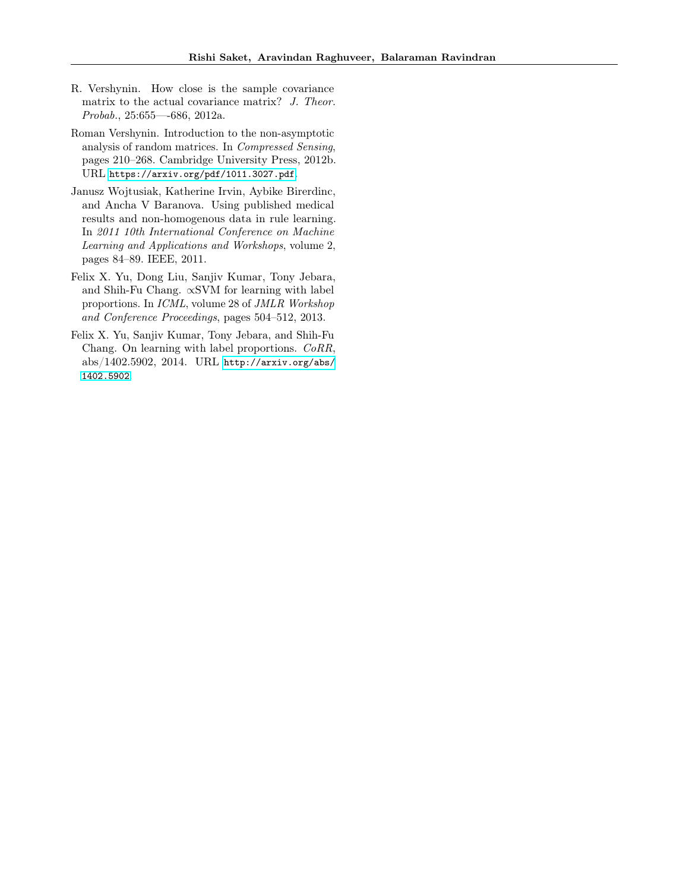- <span id="page-10-4"></span>R. Vershynin. How close is the sample covariance matrix to the actual covariance matrix? J. Theor. Probab., 25:655—-686, 2012a.
- <span id="page-10-3"></span>Roman Vershynin. Introduction to the non-asymptotic analysis of random matrices. In Compressed Sensing, pages 210–268. Cambridge University Press, 2012b. URL <https://arxiv.org/pdf/1011.3027.pdf>.
- <span id="page-10-0"></span>Janusz Wojtusiak, Katherine Irvin, Aybike Birerdinc, and Ancha V Baranova. Using published medical results and non-homogenous data in rule learning. In 2011 10th International Conference on Machine Learning and Applications and Workshops, volume 2, pages 84–89. IEEE, 2011.
- <span id="page-10-1"></span>Felix X. Yu, Dong Liu, Sanjiv Kumar, Tony Jebara, and Shih-Fu Chang. ∝SVM for learning with label proportions. In ICML, volume 28 of JMLR Workshop and Conference Proceedings, pages 504–512, 2013.
- <span id="page-10-2"></span>Felix X. Yu, Sanjiv Kumar, Tony Jebara, and Shih-Fu Chang. On learning with label proportions. CoRR, abs/1402.5902, 2014. URL [http://arxiv.org/abs/](http://arxiv.org/abs/1402.5902) [1402.5902](http://arxiv.org/abs/1402.5902).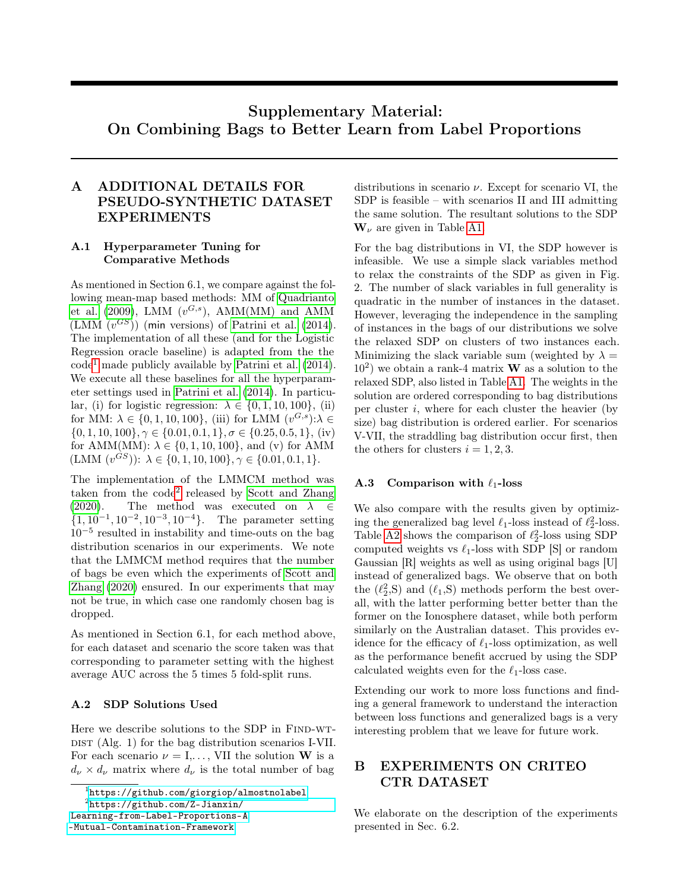# Supplementary Material: On Combining Bags to Better Learn from Label Proportions

## <span id="page-11-0"></span>A ADDITIONAL DETAILS FOR PSEUDO-SYNTHETIC DATASET EXPERIMENTS

## A.1 Hyperparameter Tuning for Comparative Methods

As mentioned in Section 6.1, we compare against the following mean-map based methods: MM of [Quadrianto](#page-9-3) [et al.](#page-9-3) [\(2009\)](#page-9-3), LMM  $(v^{G,s})$ , AMM(MM) and AMM (LMM  $(v^{GS})$ ) (min versions) of [Patrini et al.](#page-9-4) [\(2014\)](#page-9-4). The implementation of all these (and for the Logistic Regression oracle baseline) is adapted from the the  $code<sup>1</sup>$  $code<sup>1</sup>$  $code<sup>1</sup>$  made publicly available by [Patrini et al.](#page-9-4)  $(2014)$ . We execute all these baselines for all the hyperparameter settings used in [Patrini et al.](#page-9-4) [\(2014\)](#page-9-4). In particular, (i) for logistic regression:  $\lambda \in \{0, 1, 10, 100\}$ , (ii) for MM:  $\lambda \in \{0, 1, 10, 100\}$ , (iii) for LMM  $(v^{G,s})$ : $\lambda \in$  $\{0, 1, 10, 100\}, \gamma \in \{0.01, 0.1, 1\}, \sigma \in \{0.25, 0.5, 1\}, \text{ (iv)}$ for AMM(MM):  $\lambda \in \{0, 1, 10, 100\}$ , and (v) for AMM  $(LMM (v^{GS})): \lambda \in \{0, 1, 10, 100\}, \gamma \in \{0.01, 0.1, 1\}.$ 

The implementation of the LMMCM method was taken from the code<sup>[2](#page-11-3)</sup> released by [Scott and Zhang](#page-9-17) [\(2020\)](#page-9-17). The method was executed on  $\lambda \in$  $\{1, 10^{-1}, 10^{-2}, 10^{-3}, 10^{-4}\}.$  The parameter setting 10<sup>−</sup><sup>5</sup> resulted in instability and time-outs on the bag distribution scenarios in our experiments. We note that the LMMCM method requires that the number of bags be even which the experiments of [Scott and](#page-9-17) [Zhang](#page-9-17) [\(2020\)](#page-9-17) ensured. In our experiments that may not be true, in which case one randomly chosen bag is dropped.

As mentioned in Section 6.1, for each method above, for each dataset and scenario the score taken was that corresponding to parameter setting with the highest average AUC across the 5 times 5 fold-split runs.

## A.2 SDP Solutions Used

Here we describe solutions to the SDP in FIND-WT- $\text{DIST (Alg. 1)}$  for the bag distribution scenarios I-VII. For each scenario  $\nu = I, \ldots$ , VII the solution **W** is a  $d_{\nu} \times d_{\nu}$  matrix where  $d_{\nu}$  is the total number of bag

<-Mutual-Contamination-Framework>

distributions in scenario  $\nu$ . Except for scenario VI, the SDP is feasible – with scenarios II and III admitting the same solution. The resultant solutions to the SDP  $\mathbf{W}_{\nu}$  are given in Table [A1.](#page-12-0)

For the bag distributions in VI, the SDP however is infeasible. We use a simple slack variables method to relax the constraints of the SDP as given in Fig. 2. The number of slack variables in full generality is quadratic in the number of instances in the dataset. However, leveraging the independence in the sampling of instances in the bags of our distributions we solve the relaxed SDP on clusters of two instances each. Minimizing the slack variable sum (weighted by  $\lambda =$  $(10^2)$  we obtain a rank-4 matrix **W** as a solution to the relaxed SDP, also listed in Table [A1.](#page-12-0) The weights in the solution are ordered corresponding to bag distributions per cluster  $i$ , where for each cluster the heavier (by size) bag distribution is ordered earlier. For scenarios V-VII, the straddling bag distribution occur first, then the others for clusters  $i = 1, 2, 3$ .

### A.3 Comparison with  $\ell_1$ -loss

We also compare with the results given by optimizing the generalized bag level  $\ell_1$ -loss instead of  $\ell_2^2$ -loss. Table [A2](#page-12-1) shows the comparison of  $\ell_2^2$ -loss using SDP computed weights vs  $\ell_1$ -loss with SDP [S] or random Gaussian [R] weights as well as using original bags [U] instead of generalized bags. We observe that on both the  $(\ell_2^2, S)$  and  $(\ell_1, S)$  methods perform the best overall, with the latter performing better better than the former on the Ionosphere dataset, while both perform similarly on the Australian dataset. This provides evidence for the efficacy of  $\ell_1$ -loss optimization, as well as the performance benefit accrued by using the SDP calculated weights even for the  $\ell_1$ -loss case.

Extending our work to more loss functions and finding a general framework to understand the interaction between loss functions and generalized bags is a very interesting problem that we leave for future work.

## <span id="page-11-1"></span>B EXPERIMENTS ON CRITEO CTR DATASET

We elaborate on the description of the experiments presented in Sec. 6.2.

<span id="page-11-3"></span><span id="page-11-2"></span><sup>1</sup> <https://github.com/giorgiop/almostnolabel>

<sup>2</sup> [https://github.com/Z-Jianxin/](https://github.com/Z-Jianxin/Learning-from-Label-Proportions-A)

[Learning-from-Label-Proportions-A](https://github.com/Z-Jianxin/Learning-from-Label-Proportions-A)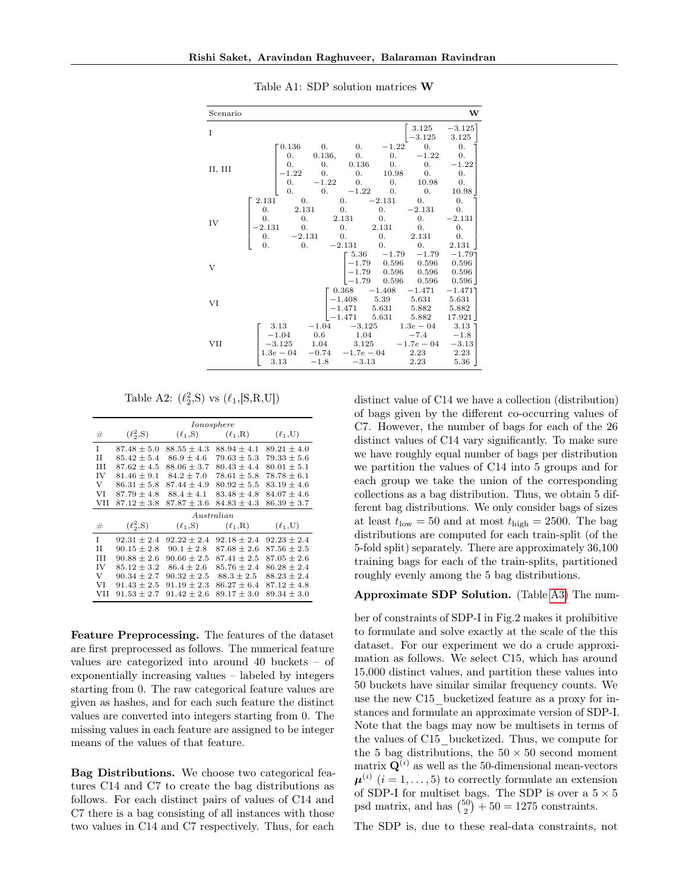<span id="page-12-0"></span>

| Scenario |                                                                                                                    |                                                                            |                                                                      |                                                                                 |                                                                                                      | W                                                                     |
|----------|--------------------------------------------------------------------------------------------------------------------|----------------------------------------------------------------------------|----------------------------------------------------------------------|---------------------------------------------------------------------------------|------------------------------------------------------------------------------------------------------|-----------------------------------------------------------------------|
| I        |                                                                                                                    |                                                                            |                                                                      |                                                                                 | 3.125<br>$-3.125$                                                                                    | $-3.125$<br>3.125                                                     |
| II, III  | 0.136<br>0.<br>$\overline{0}$ .<br>$-1.22$<br>0.<br>0.                                                             | $\hspace{0.6cm}0.$<br>0.136, 0.<br>0.<br>0.<br>$-1.22$<br>$\overline{0}$ . | $\overline{0}$ .<br>0.136<br>0.<br>$\hspace{0.1em}0.$<br>$-1.22$ 0.  | $-1.22$<br>0.<br>$\overline{\phantom{0}}$ 0.<br>10.98<br>0.                     | 0.<br>$-1.22$<br>0.<br>0.<br>10.98<br>$\hspace{0.1em}0.$                                             | 0.<br>0.<br>$-1.22$<br>0.<br>0.<br>10.98                              |
| IV       | 2.131<br>0.<br>2.131<br>0.<br>0.<br>0.<br>$-2.131$<br>$\overline{0}$ .<br>$\overline{0}$ .<br>$-2.131$<br>0.<br>0. | 2.131<br>$\hspace{0.1em}0.$<br>$\hspace{0.1em}0.$                          | $\overline{0}$ .<br>$\overline{0}$ .<br>$-2.131$                     | $-2.131$<br>0.<br>$\hspace{0.1em}0.$<br>2.131<br>$\overline{0}$ .<br>$\theta$ . | $\mathbf{0}$ .<br>$-2.131$<br>0.<br>$\hspace{0.1em}0.$<br>2.131<br>0.                                | $\overline{0}$ .<br>$\overline{0}$ .<br>$-2.131$<br>0.<br>0.<br>2.131 |
| V        |                                                                                                                    |                                                                            | $-1.79$                                                              | $5.36 -1.79$<br>0.596                                                           | $-1.79$<br>$\begin{array}{cccc} -1.79 & 0.596 & 0.596 \\ -1.79 & 0.596 & 0.596 \end{array}$<br>0.596 | $-1.79$ ]<br>0.596<br>0.596<br>0.596                                  |
| VI       |                                                                                                                    |                                                                            | 0.368<br>$\begin{array}{c} -1.408 \\ -1.471 \end{array}$<br>$-1.471$ | $-1.408$<br>5.39<br>5.631<br>5.631                                              | $-1.471$<br>5.631<br>5.882<br>5.882                                                                  | $-1.471$ ]<br>5.631<br>5.882<br>17.921                                |
| VII      | 3.13<br>$-1.04$<br>$-3.125$<br>$1.3e - 04$<br>3.13                                                                 | $-1.04$<br>0.6<br>1.04<br>$-0.74$<br>$-1.8$                                | $-3.125$<br>1.04<br>3.125<br>$-1.7e-04$ 2.23<br>$-3.13$              |                                                                                 | $1.3e - 0.4$<br>$-7.4$<br>$-1.7e-04$<br>2.23                                                         | $3.13$ ]<br>$-1.8$<br>$-3.13$<br>2.23<br>5.36                         |

Table A1: SDP solution matrices W

Table A2:  $(\ell_2^2, S)$  vs  $(\ell_1, [S, R, U])$ 

<span id="page-12-1"></span>

|     | Ionosphere      |                 |                             |                 |  |  |  |  |
|-----|-----------------|-----------------|-----------------------------|-----------------|--|--|--|--|
| #   | $(\ell_2^2, S)$ |                 | $(\ell_1, S)$ $(\ell_1, R)$ | $(\ell_1, U)$   |  |  |  |  |
| T   | $87.48 \pm 5.0$ | $88.55 \pm 4.3$ | $88.94 \pm 4.1$             | $89.21 \pm 4.0$ |  |  |  |  |
| H   | $85.42 \pm 5.4$ | $86.9 \pm 4.6$  | $79.63 \pm 5.3$             | $79.33 \pm 5.6$ |  |  |  |  |
| Ш   | $87.62 + 4.5$   | $88.06 \pm 3.7$ | $80.43 \pm 4.4$             | $80.01 \pm 5.1$ |  |  |  |  |
| IV  | $81.46 \pm 9.1$ | $84.2 + 7.0$    | $78.61 + 5.8$               | $78.78 + 6.1$   |  |  |  |  |
| V   | $86.31 + 5.8$   | $87.44 + 4.9$   | $80.92 + 5.5$               | $83.19 + 4.6$   |  |  |  |  |
| VI  | $87.79 + 4.8$   | $88.4 \pm 4.1$  | $83.48 \pm 4.8$             | $84.07 \pm 4.6$ |  |  |  |  |
| VH  | $87.12 \pm 3.8$ | $87.87 \pm 3.6$ | $84.83 \pm 4.3$             | $86.39 \pm 3.7$ |  |  |  |  |
|     |                 |                 | $A$ ustralian               |                 |  |  |  |  |
| #   | $(\ell_2^2, S)$ | $(\ell_1, S)$   | $(\ell_1,R)$                | $(\ell_1, U)$   |  |  |  |  |
| T   | $92.31 \pm 2.4$ | $92.22 \pm 2.4$ | $92.18 \pm 2.4$             | $92.23 \pm 2.4$ |  |  |  |  |
| H   | $90.15 \pm 2.8$ | $90.1 \pm 2.8$  | $87.68 \pm 2.6$             | $87.56 \pm 2.5$ |  |  |  |  |
| ш   | $90.88 \pm 2.6$ | $90.66 \pm 2.5$ | $87.41 \pm 2.5$             | $87.05 \pm 2.6$ |  |  |  |  |
| IV  | $85.12 \pm 3.2$ | $86.4 \pm 2.6$  | $85.76 \pm 2.4$             | $86.28 \pm 2.4$ |  |  |  |  |
| V   | $90.34 + 2.7$   | $90.32 + 2.5$   | $88.3 + 2.5$                | $88.23 \pm 2.4$ |  |  |  |  |
| VI  | $91.43 + 2.5$   | $91.19 + 2.3$   | $86.27 + 6.4$               | $87.12 + 4.8$   |  |  |  |  |
| VII | $91.53 + 2.7$   | $91.42 + 2.6$   | $89.17 + 3.0$               | $89.34 + 3.0$   |  |  |  |  |

Feature Preprocessing. The features of the dataset are first preprocessed as follows. The numerical feature values are categorized into around 40 buckets – of exponentially increasing values – labeled by integers starting from 0. The raw categorical feature values are given as hashes, and for each such feature the distinct values are converted into integers starting from 0. The missing values in each feature are assigned to be integer means of the values of that feature.

Bag Distributions. We choose two categorical features C14 and C7 to create the bag distributions as follows. For each distinct pairs of values of C14 and C7 there is a bag consisting of all instances with those two values in C14 and C7 respectively. Thus, for each distinct value of C14 we have a collection (distribution) of bags given by the different co-occurring values of C7. However, the number of bags for each of the 26 distinct values of C14 vary significantly. To make sure we have roughly equal number of bags per distribution we partition the values of C14 into 5 groups and for each group we take the union of the corresponding collections as a bag distribution. Thus, we obtain 5 different bag distributions. We only consider bags of sizes at least  $t_{\text{low}} = 50$  and at most  $t_{\text{high}} = 2500$ . The bag distributions are computed for each train-split (of the 5-fold split) separately. There are approximately 36,100 training bags for each of the train-splits, partitioned roughly evenly among the 5 bag distributions.

#### Approximate SDP Solution. (Table [A3\)](#page-13-1) The num-

ber of constraints of SDP-I in Fig.2 makes it prohibitive to formulate and solve exactly at the scale of the this dataset. For our experiment we do a crude approximation as follows. We select C15, which has around 15,000 distinct values, and partition these values into 50 buckets have similar similar frequency counts. We use the new C15\_bucketized feature as a proxy for instances and formulate an approximate version of SDP-I. Note that the bags may now be multisets in terms of the values of C15\_bucketized. Thus, we compute for the 5 bag distributions, the  $50 \times 50$  second moment matrix  $\mathbf{Q}^{(i)}$  as well as the 50-dimensional mean-vectors  $\boldsymbol{\mu}^{(i)}$   $(i = 1, \ldots, 5)$  to correctly formulate an extension of SDP-I for multiset bags. The SDP is over a  $5 \times 5$ psd matrix, and has  $\binom{50}{2} + 50 = 1275$  constraints.

The SDP is, due to these real-data constraints, not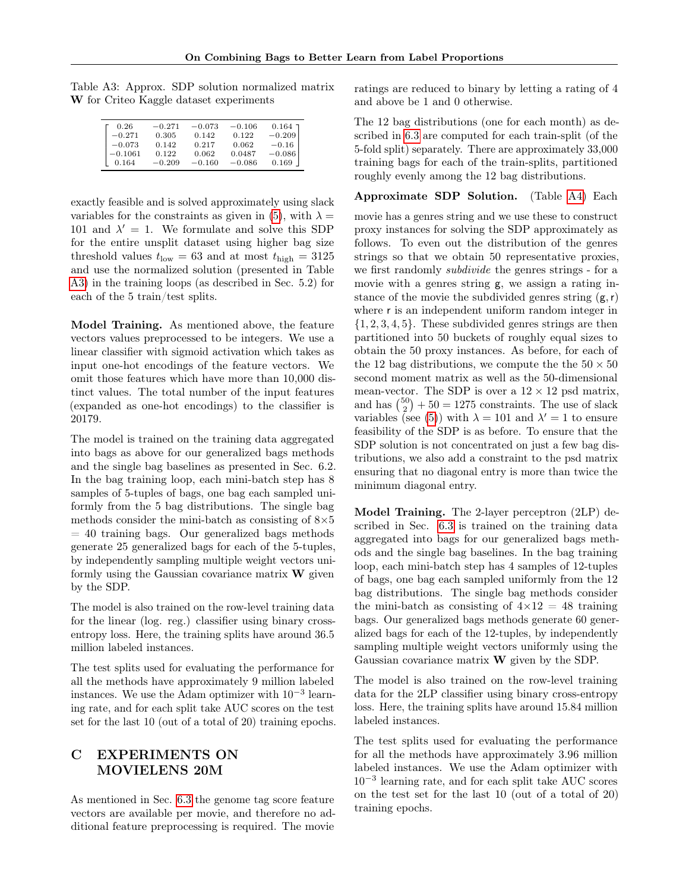| 0.26      | $-0.271$ | $-0.073$ | $-0.106$ | $0.164$ $\overline{1}$ |
|-----------|----------|----------|----------|------------------------|
| $-0.271$  | 0.305    | 0.142    | 0.122    | $-0.209$               |
| $-0.073$  | 0.142    | 0.217    | 0.062    | $-0.16$                |
| $-0.1061$ | 0.122    | 0.062    | 0.0487   | $-0.086$               |
| 0.164     | $-0.209$ | $-0.160$ | $-0.086$ | 0.169                  |

<span id="page-13-1"></span>Table A3: Approx. SDP solution normalized matrix W for Criteo Kaggle dataset experiments

exactly feasible and is solved approximately using slack variables for the constraints as given in [\(5\)](#page-5-4), with  $\lambda =$ 101 and  $\lambda' = 1$ . We formulate and solve this SDP for the entire unsplit dataset using higher bag size threshold values  $t_{\text{low}} = 63$  and at most  $t_{\text{high}} = 3125$ and use the normalized solution (presented in Table [A3\)](#page-13-1) in the training loops (as described in Sec. 5.2) for each of the 5 train/test splits.

Model Training. As mentioned above, the feature vectors values preprocessed to be integers. We use a linear classifier with sigmoid activation which takes as input one-hot encodings of the feature vectors. We omit those features which have more than 10,000 distinct values. The total number of the input features (expanded as one-hot encodings) to the classifier is 20179.

The model is trained on the training data aggregated into bags as above for our generalized bags methods and the single bag baselines as presented in Sec. 6.2. In the bag training loop, each mini-batch step has 8 samples of 5-tuples of bags, one bag each sampled uniformly from the 5 bag distributions. The single bag methods consider the mini-batch as consisting of  $8\times5$  $= 40$  training bags. Our generalized bags methods generate 25 generalized bags for each of the 5-tuples, by independently sampling multiple weight vectors uniformly using the Gaussian covariance matrix  $\bf{W}$  given by the SDP.

The model is also trained on the row-level training data for the linear (log. reg.) classifier using binary crossentropy loss. Here, the training splits have around 36.5 million labeled instances.

The test splits used for evaluating the performance for all the methods have approximately 9 million labeled instances. We use the Adam optimizer with  $10^{-3}$  learning rate, and for each split take AUC scores on the test set for the last 10 (out of a total of 20) training epochs.

## <span id="page-13-0"></span>C EXPERIMENTS ON MOVIELENS 20M

As mentioned in Sec. [6.3](#page-8-0) the genome tag score feature vectors are available per movie, and therefore no additional feature preprocessing is required. The movie ratings are reduced to binary by letting a rating of 4 and above be 1 and 0 otherwise.

The 12 bag distributions (one for each month) as described in [6.3](#page-8-0) are computed for each train-split (of the 5-fold split) separately. There are approximately 33,000 training bags for each of the train-splits, partitioned roughly evenly among the 12 bag distributions.

### Approximate SDP Solution. (Table [A4\)](#page-14-0) Each

movie has a genres string and we use these to construct proxy instances for solving the SDP approximately as follows. To even out the distribution of the genres strings so that we obtain 50 representative proxies, we first randomly subdivide the genres strings - for a movie with a genres string g, we assign a rating instance of the movie the subdivided genres string  $(g, r)$ where r is an independent uniform random integer in  $\{1, 2, 3, 4, 5\}$ . These subdivided genres strings are then partitioned into 50 buckets of roughly equal sizes to obtain the 50 proxy instances. As before, for each of the 12 bag distributions, we compute the the  $50 \times 50$ second moment matrix as well as the 50-dimensional mean-vector. The SDP is over a  $12 \times 12$  psd matrix, and has  $\binom{50}{2} + 50 = 1275$  constraints. The use of slack variables (see [\(5\)](#page-5-4)) with  $\lambda = 101$  and  $\lambda' = 1$  to ensure feasibility of the SDP is as before. To ensure that the SDP solution is not concentrated on just a few bag distributions, we also add a constraint to the psd matrix ensuring that no diagonal entry is more than twice the minimum diagonal entry.

Model Training. The 2-layer perceptron (2LP) described in Sec. [6.3](#page-8-0) is trained on the training data aggregated into bags for our generalized bags methods and the single bag baselines. In the bag training loop, each mini-batch step has 4 samples of 12-tuples of bags, one bag each sampled uniformly from the 12 bag distributions. The single bag methods consider the mini-batch as consisting of  $4 \times 12 = 48$  training bags. Our generalized bags methods generate 60 generalized bags for each of the 12-tuples, by independently sampling multiple weight vectors uniformly using the Gaussian covariance matrix W given by the SDP.

The model is also trained on the row-level training data for the 2LP classifier using binary cross-entropy loss. Here, the training splits have around 15.84 million labeled instances.

The test splits used for evaluating the performance for all the methods have approximately 3.96 million labeled instances. We use the Adam optimizer with 10−<sup>3</sup> learning rate, and for each split take AUC scores on the test set for the last 10 (out of a total of 20) training epochs.